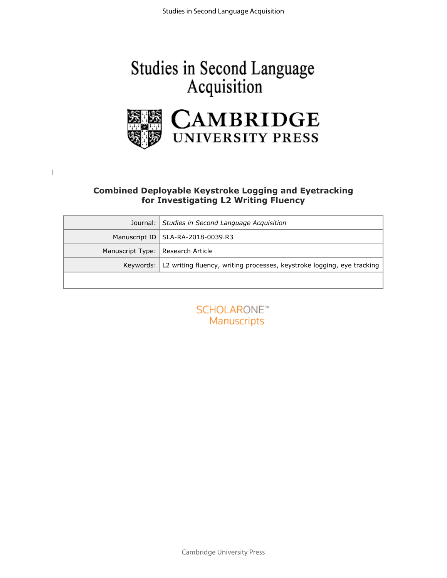# Studies in Second Language<br>Acquisition



# **Combined Deployable Keystroke Logging and Eyetracking**

| <b>Combined Deployable Keystroke Logging and Eyetracking</b><br>for Investigating L2 Writing Fluency |                                                                                    |  |  |  |
|------------------------------------------------------------------------------------------------------|------------------------------------------------------------------------------------|--|--|--|
| Journal:                                                                                             | Studies in Second Language Acquisition                                             |  |  |  |
| Manuscript ID                                                                                        | SLA-RA-2018-0039.R3                                                                |  |  |  |
| Manuscript Type:                                                                                     | Research Article                                                                   |  |  |  |
|                                                                                                      | Keywords:   L2 writing fluency, writing processes, keystroke logging, eye tracking |  |  |  |
|                                                                                                      |                                                                                    |  |  |  |
|                                                                                                      | SCHOLARONE <sup>*</sup><br>Manuscripts                                             |  |  |  |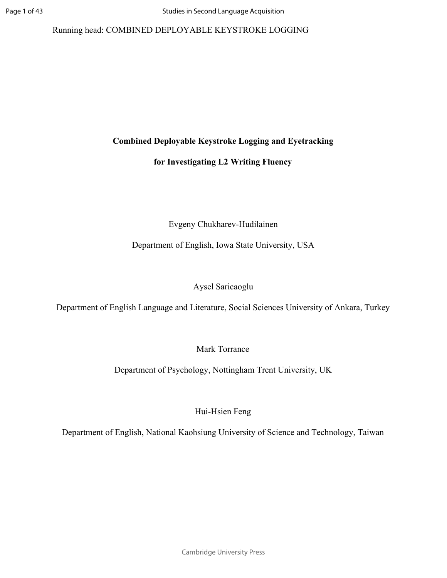# Running head: COMBINED DEPLOYABLE KEYSTROKE LOGGING

# **Combined Deployable Keystroke Logging and Eyetracking**

# **for Investigating L2 Writing Fluency**

# Evgeny Chukharev-Hudilainen

Department of English, Iowa State University, USA

# Aysel Saricaoglu

Department of English Language and Literature, Social Sciences University of Ankara, Turkey

Mark Torrance

Evgeny Chukharev-Hudilainen<br>
partment of English, Iowa State University, I<br>
Aysel Saricaoglu<br>
anguage and Literature, Social Sciences University<br>
Mark Torrance<br>
eent of Psychology, Nottingham Trent Unive Department of Psychology, Nottingham Trent University, UK

Hui-Hsien Feng

Department of English, National Kaohsiung University of Science and Technology, Taiwan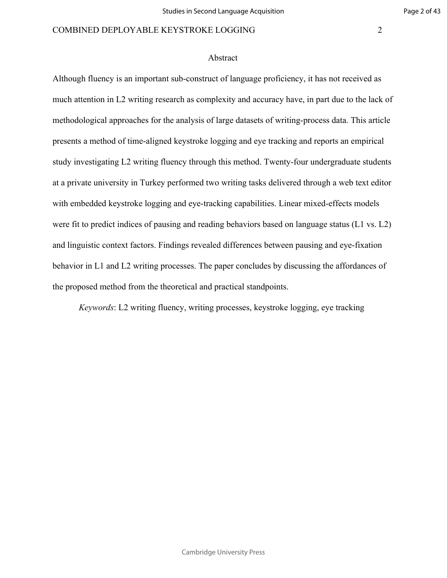#### Abstract

Iogging and eye-tracking capabilities. Linear<br>of pausing and reading behaviors based on la<br>ors. Findings revealed differences between p<br>iting processes. The paper concludes by disculate the theoretical and practical standp Although fluency is an important sub-construct of language proficiency, it has not received as much attention in L2 writing research as complexity and accuracy have, in part due to the lack of methodological approaches for the analysis of large datasets of writing-process data. This article presents a method of time-aligned keystroke logging and eye tracking and reports an empirical study investigating L2 writing fluency through this method. Twenty-four undergraduate students at a private university in Turkey performed two writing tasks delivered through a web text editor with embedded keystroke logging and eye-tracking capabilities. Linear mixed-effects models were fit to predict indices of pausing and reading behaviors based on language status (L1 vs. L2) and linguistic context factors. Findings revealed differences between pausing and eye-fixation behavior in L1 and L2 writing processes. The paper concludes by discussing the affordances of the proposed method from the theoretical and practical standpoints.

*Keywords*: L2 writing fluency, writing processes, keystroke logging, eye tracking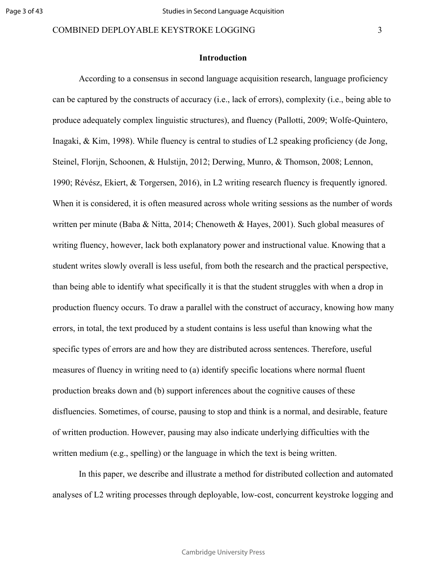#### **Introduction**

Soften measured across whole writing sessio<br>& Nitta, 2014; Chenoweth & Hayes, 2001). S<br>lack both explanatory power and instruction<br>rall is less useful, from both the research and<br>what specifically it is that the student s According to a consensus in second language acquisition research, language proficiency can be captured by the constructs of accuracy (i.e., lack of errors), complexity (i.e., being able to produce adequately complex linguistic structures), and fluency [\(Pallotti, 2009; Wolfe-Quintero,](https://paperpile.com/c/Tko6jV/qNTp5+OYBOq) [Inagaki, & Kim, 1998\).](https://paperpile.com/c/Tko6jV/qNTp5+OYBOq) While fluency is central to studies of L2 speaking proficiency [\(de Jong,](https://paperpile.com/c/Tko6jV/eGnpN+oG58r+BplDk+4bcqi) [Steinel, Florijn, Schoonen, & Hulstijn, 2012; Derwing, Munro, & Thomson, 2008; Lennon,](https://paperpile.com/c/Tko6jV/eGnpN+oG58r+BplDk+4bcqi) [1990; Révész, Ekiert, & Torgersen, 2016\)](https://paperpile.com/c/Tko6jV/eGnpN+oG58r+BplDk+4bcqi), in L2 writing research fluency is frequently ignored. When it is considered, it is often measured across whole writing sessions as the number of words written per minute [\(Baba & Nitta, 2014; Chenoweth & Hayes, 2001\).](https://paperpile.com/c/Tko6jV/6wBBd+QpzmV) Such global measures of writing fluency, however, lack both explanatory power and instructional value. Knowing that a student writes slowly overall is less useful, from both the research and the practical perspective, than being able to identify what specifically it is that the student struggles with when a drop in production fluency occurs. To draw a parallel with the construct of accuracy, knowing how many errors, in total, the text produced by a student contains is less useful than knowing what the specific types of errors are and how they are distributed across sentences. Therefore, useful measures of fluency in writing need to (a) identify specific locations where normal fluent production breaks down and (b) support inferences about the cognitive causes of these disfluencies. Sometimes, of course, pausing to stop and think is a normal, and desirable, feature of written production. However, pausing may also indicate underlying difficulties with the written medium (e.g., spelling) or the language in which the text is being written.

In this paper, we describe and illustrate a method for distributed collection and automated analyses of L2 writing processes through deployable, low-cost, concurrent keystroke logging and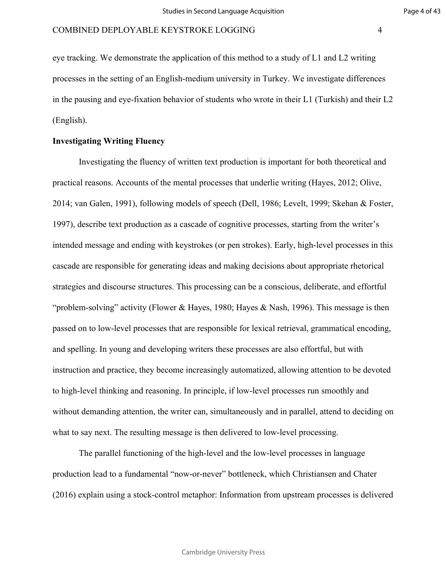eye tracking. We demonstrate the application of this method to a study of L1 and L2 writing processes in the setting of an English-medium university in Turkey. We investigate differences in the pausing and eye-fixation behavior of students who wrote in their L1 (Turkish) and their L2 (English).

# **Investigating Writing Fluency**

bllowing models of speech (Dell, 1986; Levention as a cascade of cognitive processes, staing with keystrokes (or pen strokes). Early, leading with keystrokes (or pen strokes). Early, leading with keystrokes (or pen strokes Investigating the fluency of written text production is important for both theoretical and practical reasons. Accounts of the mental processes that underlie writing [\(Hayes, 2012; Olive,](https://paperpile.com/c/Tko6jV/cj2ht+JnUOx+3WVfj) [2014; van Galen, 1991\)](https://paperpile.com/c/Tko6jV/cj2ht+JnUOx+3WVfj), following models of speech [\(Dell, 1986; Levelt, 1999; Skehan & Foster,](https://paperpile.com/c/Tko6jV/SCzXZ+gk5z5+YLUKe) [1997\),](https://paperpile.com/c/Tko6jV/SCzXZ+gk5z5+YLUKe) describe text production as a cascade of cognitive processes, starting from the writer's intended message and ending with keystrokes (or pen strokes). Early, high-level processes in this cascade are responsible for generating ideas and making decisions about appropriate rhetorical strategies and discourse structures. This processing can be a conscious, deliberate, and effortful "problem-solving" activity [\(Flower & Hayes, 1980; Hayes & Nash, 1996\).](https://paperpile.com/c/Tko6jV/fLJI6+dEDZr) This message is then passed on to low-level processes that are responsible for lexical retrieval, grammatical encoding, and spelling. In young and developing writers these processes are also effortful, but with instruction and practice, they become increasingly automatized, allowing attention to be devoted to high-level thinking and reasoning. In principle, if low-level processes run smoothly and without demanding attention, the writer can, simultaneously and in parallel, attend to deciding on what to say next. The resulting message is then delivered to low-level processing.

The parallel functioning of the high-level and the low-level processes in language production lead to a fundamental "now-or-never" bottleneck, which Christiansen and Chater [\(2016\)](https://paperpile.com/c/Tko6jV/PHOA/?noauthor=1) explain using a stock-control metaphor: Information from upstream processes is delivered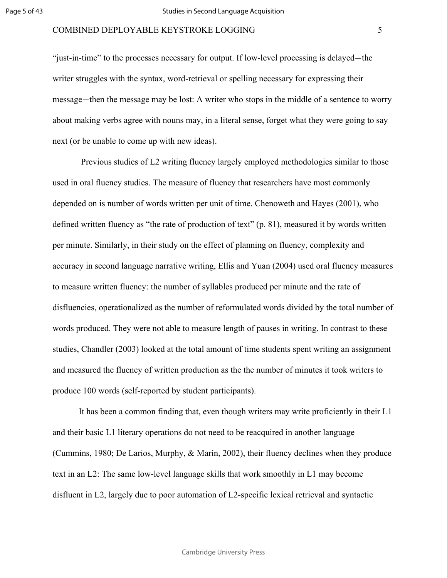"just-in-time" to the processes necessary for output. If low-level processing is delayed—the writer struggles with the syntax, word-retrieval or spelling necessary for expressing their message —then the message may be lost: A writer who stops in the middle of a sentence to worry about making verbs agree with nouns may, in a literal sense, forget what they were going to say next (or be unable to come up with new ideas).

Evaluated to the metallic contract of the contract of two sets.<br>
"The rate of production of text" (p. 81), measure is their study on the effect of planning on fluence and the effect of planning on fluence are narrative wri Previous studies of L2 writing fluency largely employed methodologies similar to those used in oral fluency studies. The measure of fluency that researchers have most commonly depended on is number of words written per unit of time. Chenoweth and Hayes [\(2001\)](https://paperpile.com/c/Tko6jV/6wBBd/?noauthor=1), who defined written fluency as "the rate of production of text" (p. 81), measured it by words written per minute. Similarly, in their study on the effect of planning on fluency, complexity and accuracy in second language narrative writing, Ellis and Yuan (2004) used oral fluency measures to measure written fluency: the number of syllables produced per minute and the rate of disfluencies, operationalized as the number of reformulated words divided by the total number of words produced. They were not able to measure length of pauses in writing. In contrast to these studies, Chandler [\(2003\)](https://paperpile.com/c/Tko6jV/gcYQ3/?noauthor=1) looked at the total amount of time students spent writing an assignment and measured the fluency of written production as the the number of minutes it took writers to produce 100 words (self-reported by student participants).

It has been a common finding that, even though writers may write proficiently in their L1 and their basic L1 literary operations do not need to be reacquired in another language [\(Cummins, 1980; De Larios, Murphy, & Marín, 2002\),](https://paperpile.com/c/Tko6jV/vcs8T+9VqnD) their fluency declines when they produce text in an L2: The same low-level language skills that work smoothly in L1 may become disfluent in L2, largely due to poor automation of L2-specific lexical retrieval and syntactic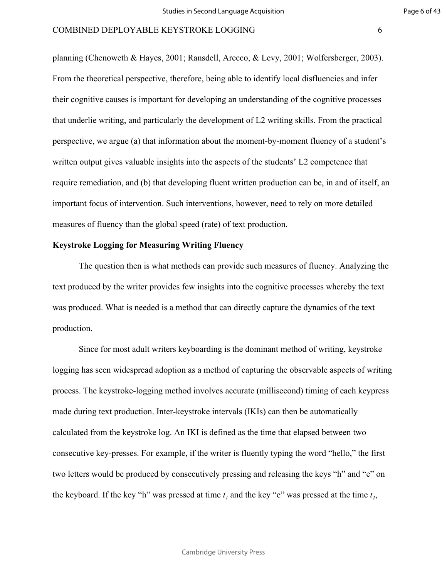planning [\(Chenoweth & Hayes, 2001; Ransdell, Arecco, & Levy, 2001; Wolfersberger, 2003\).](https://paperpile.com/c/Tko6jV/C4wr1+6wBBd+Bbare/?noauthor=0,0,0) From the theoretical perspective, therefore, being able to identify local disfluencies and infer their cognitive causes is important for developing an understanding of the cognitive processes that underlie writing, and particularly the development of L2 writing skills. From the practical perspective, we argue (a) that information about the moment-by-moment fluency of a student's written output gives valuable insights into the aspects of the students' L2 competence that require remediation, and (b) that developing fluent written production can be, in and of itself, an important focus of intervention. Such interventions, however, need to rely on more detailed measures of fluency than the global speed (rate) of text production.

# **Keystroke Logging for Measuring Writing Fluency**

For the global speed (rate) of text production.<br>the global speed (rate) of text production.<br>**Alessaring Writing Fluency**<br>is what methods can provide such measures<br>or provides few insights into the cognitive provides few in The question then is what methods can provide such measures of fluency. Analyzing the text produced by the writer provides few insights into the cognitive processes whereby the text was produced. What is needed is a method that can directly capture the dynamics of the text production.

Since for most adult writers keyboarding is the dominant method of writing, keystroke logging has seen widespread adoption as a method of capturing the observable aspects of writing process. The keystroke-logging method involves accurate (millisecond) timing of each keypress made during text production. Inter-keystroke intervals (IKIs) can then be automatically calculated from the keystroke log. An IKI is defined as the time that elapsed between two consecutive key-presses. For example, if the writer is fluently typing the word "hello," the first two letters would be produced by consecutively pressing and releasing the keys "h" and "e" on the keyboard. If the key "h" was pressed at time  $t_1$  and the key "e" was pressed at the time  $t_2$ ,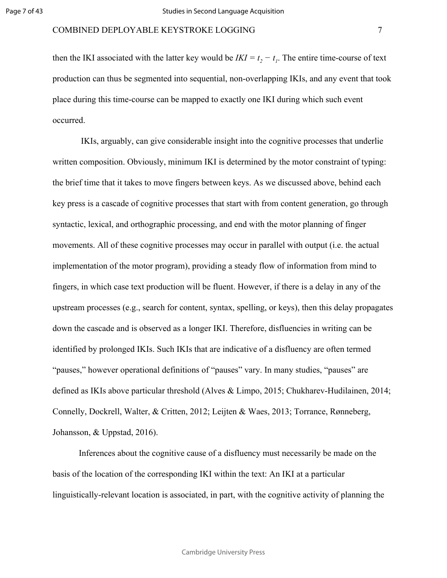then the IKI associated with the latter key would be  $IKI = t_2 - t_1$ . The entire time-course of text production can thus be segmented into sequential, non-overlapping IKIs, and any event that took place during this time-course can be mapped to exactly one IKI during which such event occurred.

For any constraint system in an anomorphic processes that start with from conteneor applic processing, and end with the motor cognitive processes may occur in parallel with the motor program), providing a steady flow of in IKIs, arguably, can give considerable insight into the cognitive processes that underlie written composition. Obviously, minimum IKI is determined by the motor constraint of typing: the brief time that it takes to move fingers between keys. As we discussed above, behind each key press is a cascade of cognitive processes that start with from content generation, go through syntactic, lexical, and orthographic processing, and end with the motor planning of finger movements. All of these cognitive processes may occur in parallel with output (i.e. the actual implementation of the motor program), providing a steady flow of information from mind to fingers, in which case text production will be fluent. However, if there is a delay in any of the upstream processes (e.g., search for content, syntax, spelling, or keys), then this delay propagates down the cascade and is observed as a longer IKI. Therefore, disfluencies in writing can be identified by prolonged IKIs. Such IKIs that are indicative of a disfluency are often termed "pauses," however operational definitions of "pauses" vary. In many studies, "pauses" are defined as IKIs above particular threshold [\(Alves & Limpo, 2015; Chukharev-Hudilainen, 2014;](https://paperpile.com/c/Tko6jV/Z2IwW+ObI4l+J78FR+qyQCN+pnWvF) [Connelly, Dockrell, Walter, & Critten, 2012; Leijten & Waes, 2013; Torrance, Rønneberg,](https://paperpile.com/c/Tko6jV/Z2IwW+ObI4l+J78FR+qyQCN+pnWvF) [Johansson, & Uppstad, 2016\).](https://paperpile.com/c/Tko6jV/Z2IwW+ObI4l+J78FR+qyQCN+pnWvF)

Inferences about the cognitive cause of a disfluency must necessarily be made on the basis of the location of the corresponding IKI within the text: An IKI at a particular linguistically-relevant location is associated, in part, with the cognitive activity of planning the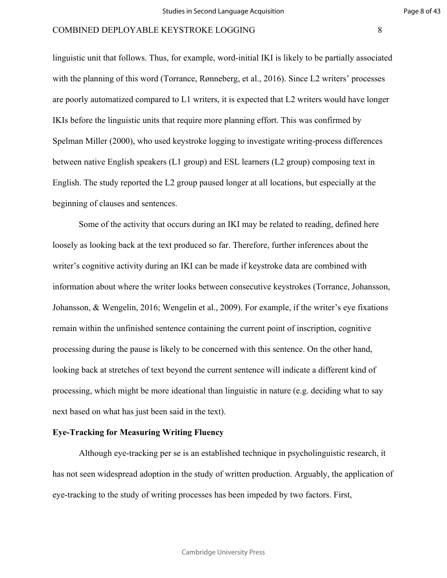linguistic unit that follows. Thus, for example, word-initial IKI is likely to be partially associated with the planning of this word [\(Torrance, Rønneberg, et al., 2016\)](https://paperpile.com/c/Tko6jV/Z2IwW). Since L2 writers' processes are poorly automatized compared to L1 writers, it is expected that L2 writers would have longer IKIs before the linguistic units that require more planning effort. This was confirmed by Spelman Miller [\(2000\),](https://paperpile.com/c/Tko6jV/pF9ct/?noauthor=1) who used keystroke logging to investigate writing-process differences between native English speakers (L1 group) and ESL learners (L2 group) composing text in English. The study reported the L2 group paused longer at all locations, but especially at the

beginning of clauses and sentences.

EV and all good<sub>F</sub> pansion stages an an estantion<br>sentences.<br>ty that occurs during an IKI may be related to<br>the text produced so far. Therefore, further i<br>during an IKI can be made if keystroke data<br>he writer looks between Some of the activity that occurs during an IKI may be related to reading, defined here loosely as looking back at the text produced so far. Therefore, further inferences about the writer's cognitive activity during an IKI can be made if keystroke data are combined with information about where the writer looks between consecutive keystrokes [\(Torrance, Johansson,](https://paperpile.com/c/Tko6jV/gBS0b+E2Zvk) [Johansson, & Wengelin, 2016; Wengelin et al., 2009\)](https://paperpile.com/c/Tko6jV/gBS0b+E2Zvk). For example, if the writer's eye fixations remain within the unfinished sentence containing the current point of inscription, cognitive processing during the pause is likely to be concerned with this sentence. On the other hand, looking back at stretches of text beyond the current sentence will indicate a different kind of processing, which might be more ideational than linguistic in nature (e.g. deciding what to say next based on what has just been said in the text).

# **Eye-Tracking for Measuring Writing Fluency**

Although eye-tracking per se is an established technique in psycholinguistic research, it has not seen widespread adoption in the study of written production. Arguably, the application of eye-tracking to the study of writing processes has been impeded by two factors. First,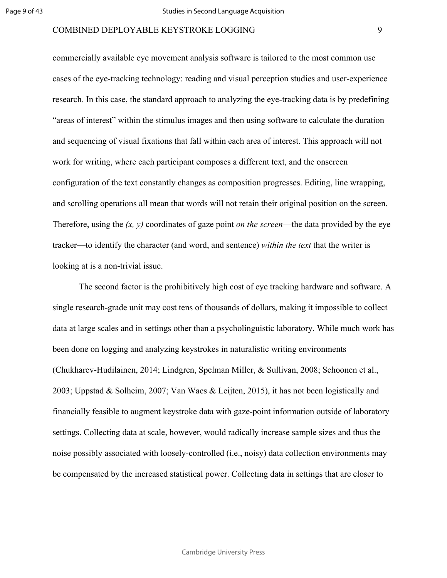commercially available eye movement analysis software is tailored to the most common use cases of the eye-tracking technology: reading and visual perception studies and user-experience research. In this case, the standard approach to analyzing the eye-tracking data is by predefining "areas of interest" within the stimulus images and then using software to calculate the duration and sequencing of visual fixations that fall within each area of interest. This approach will not work for writing, where each participant composes a different text, and the onscreen configuration of the text constantly changes as composition progresses. Editing, line wrapping, and scrolling operations all mean that words will not retain their original position on the screen. Therefore, using the *(x, y)* coordinates of gaze point *on the screen*—the data provided by the eye tracker—to identify the character (and word, and sentence) *within the text* that the writer is looking at is a non-trivial issue.

Il mean that words will not retain their origin<br>coordinates of gaze point *on the screen*—the<br>naracter (and word, and sentence) *within the* is<br>issue.<br>is the prohibitively high cost of eye tracking<br>may cost tens of thousan The second factor is the prohibitively high cost of eye tracking hardware and software. A single research-grade unit may cost tens of thousands of dollars, making it impossible to collect data at large scales and in settings other than a psycholinguistic laboratory. While much work has been done on logging and analyzing keystrokes in naturalistic writing environments [\(Chukharev-Hudilainen, 2014; Lindgren, Spelman Miller, & Sullivan, 2008; Schoonen et al.,](https://paperpile.com/c/Tko6jV/pnWvF+xpBAV+u4yq8+5NWVH+zxc4I) [2003; Uppstad & Solheim, 2007; Van Waes & Leijten, 2015\),](https://paperpile.com/c/Tko6jV/pnWvF+xpBAV+u4yq8+5NWVH+zxc4I) it has not been logistically and financially feasible to augment keystroke data with gaze-point information outside of laboratory settings. Collecting data at scale, however, would radically increase sample sizes and thus the noise possibly associated with loosely-controlled (i.e., noisy) data collection environments may be compensated by the increased statistical power. Collecting data in settings that are closer to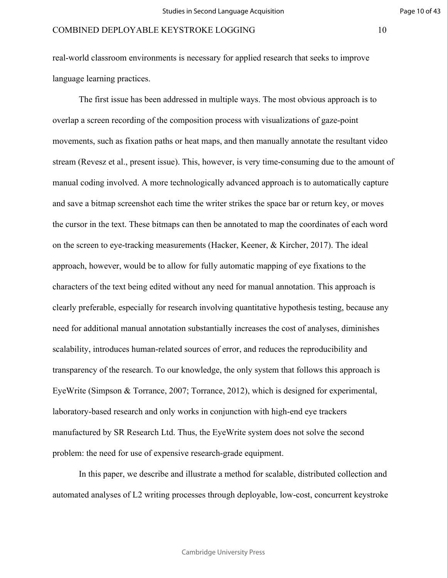real-world classroom environments is necessary for applied research that seeks to improve language learning practices.

Interacting grading *and also a* represent in<br>the each time the writer strikes the space bar<br>se bitmaps can then be annotated to map the<br>ing measurements (Hacker, Keener, & Kirch<br>I be to allow for fully automatic mapping o The first issue has been addressed in multiple ways. The most obvious approach is to overlap a screen recording of the composition process with visualizations of gaze-point movements, such as fixation paths or heat maps, and then manually annotate the resultant video stream (Revesz et al., present issue). This, however, is very time-consuming due to the amount of manual coding involved. A more technologically advanced approach is to automatically capture and save a bitmap screenshot each time the writer strikes the space bar or return key, or moves the cursor in the text. These bitmaps can then be annotated to map the coordinates of each word on the screen to eye-tracking measurements [\(Hacker, Keener, & Kircher, 2017\).](https://paperpile.com/c/Tko6jV/e3X3u) The ideal approach, however, would be to allow for fully automatic mapping of eye fixations to the characters of the text being edited without any need for manual annotation. This approach is clearly preferable, especially for research involving quantitative hypothesis testing, because any need for additional manual annotation substantially increases the cost of analyses, diminishes scalability, introduces human-related sources of error, and reduces the reproducibility and transparency of the research. To our knowledge, the only system that follows this approach is EyeWrite [\(Simpson & Torrance, 2007; Torrance, 2012\)](https://paperpile.com/c/Tko6jV/eui8o+PZO0S), which is designed for experimental, laboratory-based research and only works in conjunction with high-end eye trackers manufactured by SR Research Ltd. Thus, the EyeWrite system does not solve the second problem: the need for use of expensive research-grade equipment.

In this paper, we describe and illustrate a method for scalable, distributed collection and automated analyses of L2 writing processes through deployable, low-cost, concurrent keystroke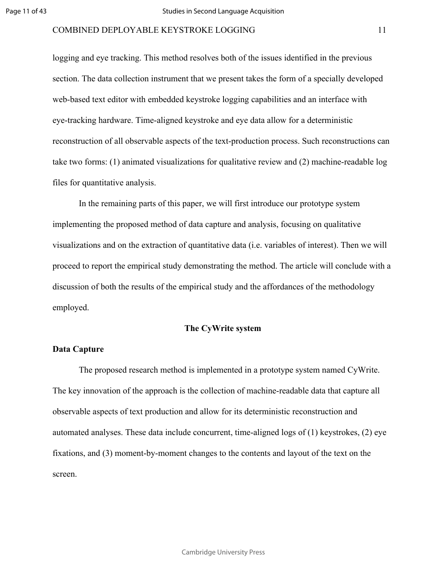logging and eye tracking. This method resolves both of the issues identified in the previous section. The data collection instrument that we present takes the form of a specially developed web-based text editor with embedded keystroke logging capabilities and an interface with eye-tracking hardware. Time-aligned keystroke and eye data allow for a deterministic reconstruction of all observable aspects of the text-production process. Such reconstructions can take two forms: (1) animated visualizations for qualitative review and (2) machine-readable log files for quantitative analysis.

Formark of this paper, we will first introduce our<br>d method of data capture and analysis, focus<br>extraction of quantitative data (i.e. variables of<br>irical study demonstrating the method. The a<br>alts of the empirical study an In the remaining parts of this paper, we will first introduce our prototype system implementing the proposed method of data capture and analysis, focusing on qualitative visualizations and on the extraction of quantitative data (i.e. variables of interest). Then we will proceed to report the empirical study demonstrating the method. The article will conclude with a discussion of both the results of the empirical study and the affordances of the methodology employed.

# **The CyWrite system**

#### **Data Capture**

The proposed research method is implemented in a prototype system named CyWrite. The key innovation of the approach is the collection of machine-readable data that capture all observable aspects of text production and allow for its deterministic reconstruction and automated analyses. These data include concurrent, time-aligned logs of (1) keystrokes, (2) eye fixations, and (3) moment-by-moment changes to the contents and layout of the text on the screen.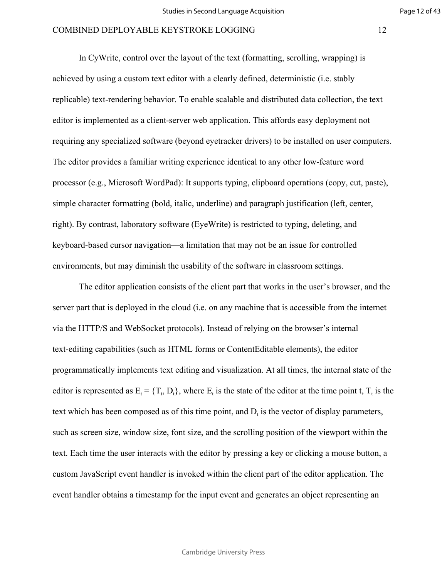In CyWrite, control over the layout of the text (formatting, scrolling, wrapping) is achieved by using a custom text editor with a clearly defined, deterministic (i.e. stably replicable) text-rendering behavior. To enable scalable and distributed data collection, the text editor is implemented as a client-server web application. This affords easy deployment not requiring any specialized software (beyond eyetracker drivers) to be installed on user computers. The editor provides a familiar writing experience identical to any other low-feature word processor (e.g., Microsoft WordPad): It supports typing, clipboard operations (copy, cut, paste), simple character formatting (bold, italic, underline) and paragraph justification (left, center, right). By contrast, laboratory software (EyeWrite) is restricted to typing, deleting, and keyboard-based cursor navigation—a limitation that may not be an issue for controlled environments, but may diminish the usability of the software in classroom settings.

For Programs, except the system experience of the set of the set of the set of the set of the vigation—a limitation that may not be an issue wigation—a limitation that may not be an issue minish the usability of the softw The editor application consists of the client part that works in the user's browser, and the server part that is deployed in the cloud (i.e. on any machine that is accessible from the internet via the HTTP/S and WebSocket protocols). Instead of relying on the browser's internal text-editing capabilities (such as HTML forms or ContentEditable elements), the editor programmatically implements text editing and visualization. At all times, the internal state of the editor is represented as  $E_t = \{T_t, D_t\}$ , where  $E_t$  is the state of the editor at the time point t,  $T_t$  is the text which has been composed as of this time point, and  $D_t$  is the vector of display parameters, such as screen size, window size, font size, and the scrolling position of the viewport within the text. Each time the user interacts with the editor by pressing a key or clicking a mouse button, a custom JavaScript event handler is invoked within the client part of the editor application. The event handler obtains a timestamp for the input event and generates an object representing an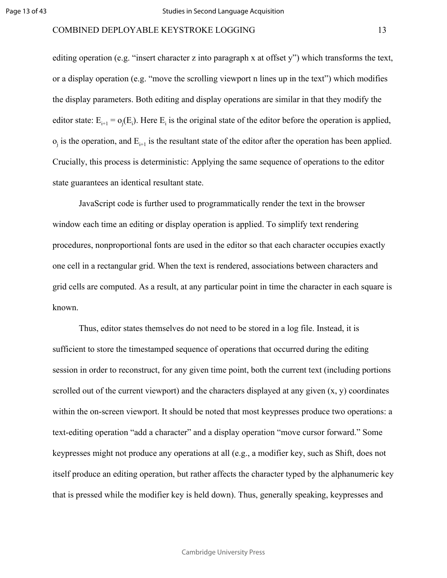editing operation (e.g. "insert character z into paragraph x at offset y") which transforms the text, or a display operation (e.g. "move the scrolling viewport n lines up in the text") which modifies the display parameters. Both editing and display operations are similar in that they modify the editor state:  $E_{i+1} = o_j(E_i)$ . Here  $E_i$  is the original state of the editor before the operation is applied,  $o_j$  is the operation, and  $E_{i+1}$  is the resultant state of the editor after the operation has been applied. Crucially, this process is deterministic: Applying the same sequence of operations to the editor state guarantees an identical resultant state.

further used to programmatically render the<br>ing or display operation is applied. To simpli<br>nal fonts are used in the editor so that each ch<br>rid. When the text is rendered, associations b<br>s a result, at any particular point JavaScript code is further used to programmatically render the text in the browser window each time an editing or display operation is applied. To simplify text rendering procedures, nonproportional fonts are used in the editor so that each character occupies exactly one cell in a rectangular grid. When the text is rendered, associations between characters and grid cells are computed. As a result, at any particular point in time the character in each square is known.

Thus, editor states themselves do not need to be stored in a log file. Instead, it is sufficient to store the timestamped sequence of operations that occurred during the editing session in order to reconstruct, for any given time point, both the current text (including portions scrolled out of the current viewport) and the characters displayed at any given  $(x, y)$  coordinates within the on-screen viewport. It should be noted that most keypresses produce two operations: a text-editing operation "add a character" and a display operation "move cursor forward." Some keypresses might not produce any operations at all (e.g., a modifier key, such as Shift, does not itself produce an editing operation, but rather affects the character typed by the alphanumeric key that is pressed while the modifier key is held down). Thus, generally speaking, keypresses and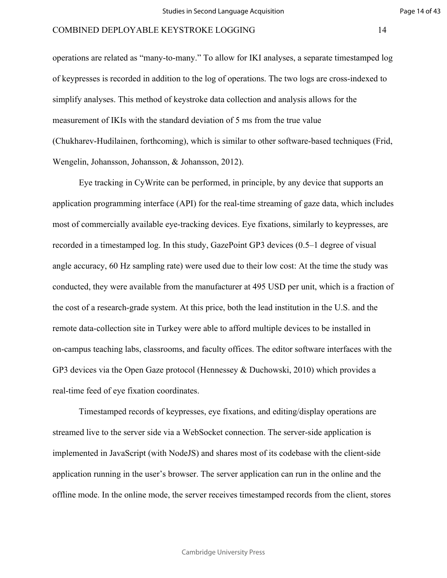operations are related as "many-to-many." To allow for IKI analyses, a separate timestamped log of keypresses is recorded in addition to the log of operations. The two logs are cross-indexed to simplify analyses. This method of keystroke data collection and analysis allows for the measurement of IKIs with the standard deviation of 5 ms from the true value [\(Chukharev-Hudilainen, forthcoming\)](https://paperpile.com/c/Tko6jV/7GaR), which is similar to other software-based techniques [\(Frid,](https://paperpile.com/c/Tko6jV/aK92) [Wengelin, Johansson, Johansson, & Johansson, 2012\).](https://paperpile.com/c/Tko6jV/aK92)

interface (API) for the real-time streaming or<br>ilable eye-tracking devices. Eye fixations, sin<br>l log. In this study, GazePoint GP3 devices (to<br>mpling rate) were used due to their low cost:<br>lable from the manufacturer at 4 Eye tracking in CyWrite can be performed, in principle, by any device that supports an application programming interface (API) for the real-time streaming of gaze data, which includes most of commercially available eye-tracking devices. Eye fixations, similarly to keypresses, are recorded in a timestamped log. In this study, GazePoint GP3 devices (0.5–1 degree of visual angle accuracy, 60 Hz sampling rate) were used due to their low cost: At the time the study was conducted, they were available from the manufacturer at 495 USD per unit, which is a fraction of the cost of a research-grade system. At this price, both the lead institution in the U.S. and the remote data-collection site in Turkey were able to afford multiple devices to be installed in on-campus teaching labs, classrooms, and faculty offices. The editor software interfaces with the GP3 devices via the Open Gaze protocol [\(Hennessey & Duchowski, 2010\)](https://paperpile.com/c/Tko6jV/ovM94) which provides a real-time feed of eye fixation coordinates.

Timestamped records of keypresses, eye fixations, and editing/display operations are streamed live to the server side via a WebSocket connection. The server-side application is implemented in JavaScript (with NodeJS) and shares most of its codebase with the client-side application running in the user's browser. The server application can run in the online and the offline mode. In the online mode, the server receives timestamped records from the client, stores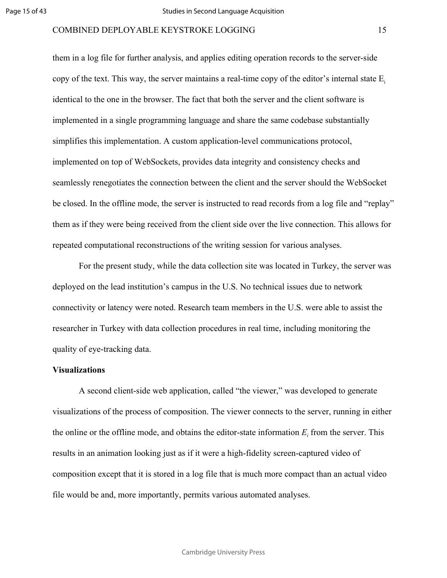them in a log file for further analysis, and applies editing operation records to the server-side copy of the text. This way, the server maintains a real-time copy of the editor's internal state  $E_i$ identical to the one in the browser. The fact that both the server and the client software is implemented in a single programming language and share the same codebase substantially simplifies this implementation. A custom application-level communications protocol, implemented on top of WebSockets, provides data integrity and consistency checks and seamlessly renegotiates the connection between the client and the server should the WebSocket be closed. In the offline mode, the server is instructed to read records from a log file and "replay" them as if they were being received from the client side over the live connection. This allows for repeated computational reconstructions of the writing session for various analyses.

For Permethen Permethen and and the Beek<br>and the Beek and the Beek<br>and the server is instructed to read records f<br>g received from the client side over the live constructions of the writing session for varior<br>dy, while the For the present study, while the data collection site was located in Turkey, the server was deployed on the lead institution's campus in the U.S. No technical issues due to network connectivity or latency were noted. Research team members in the U.S. were able to assist the researcher in Turkey with data collection procedures in real time, including monitoring the quality of eye-tracking data.

# **Visualizations**

A second client-side web application, called "the viewer," was developed to generate visualizations of the process of composition. The viewer connects to the server, running in either the online or the offline mode, and obtains the editor-state information  $E_i$  from the server. This results in an animation looking just as if it were a high-fidelity screen-captured video of composition except that it is stored in a log file that is much more compact than an actual video file would be and, more importantly, permits various automated analyses.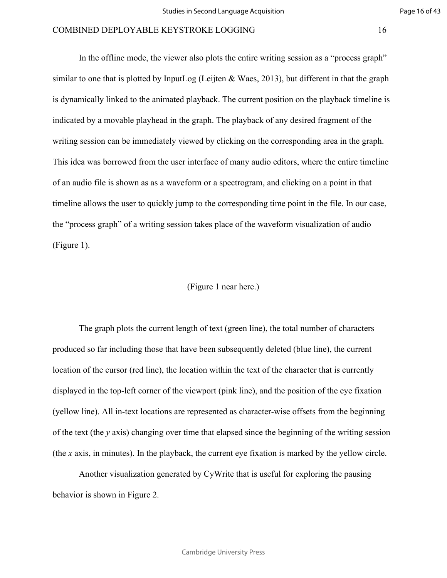For Perincysian, and then<br>it is a matricent of the corresponding time point<br>virting session takes place of the waveform v<br>(Figure 1 near here.)<br>e current length of text (green line), the total<br>those that have been subseque In the offline mode, the viewer also plots the entire writing session as a "process graph" similar to one that is plotted by InputLog [\(Leijten & Waes, 2013\),](https://paperpile.com/c/Tko6jV/J78FR) but different in that the graph is dynamically linked to the animated playback. The current position on the playback timeline is indicated by a movable playhead in the graph. The playback of any desired fragment of the writing session can be immediately viewed by clicking on the corresponding area in the graph. This idea was borrowed from the user interface of many audio editors, where the entire timeline of an audio file is shown as as a waveform or a spectrogram, and clicking on a point in that timeline allows the user to quickly jump to the corresponding time point in the file. In our case, the "process graph" of a writing session takes place of the waveform visualization of audio (Figure 1).

# (Figure 1 near here.)

The graph plots the current length of text (green line), the total number of characters produced so far including those that have been subsequently deleted (blue line), the current location of the cursor (red line), the location within the text of the character that is currently displayed in the top-left corner of the viewport (pink line), and the position of the eye fixation (yellow line). All in-text locations are represented as character-wise offsets from the beginning of the text (the *y* axis) changing over time that elapsed since the beginning of the writing session (the *x* axis, in minutes). In the playback, the current eye fixation is marked by the yellow circle.

Another visualization generated by CyWrite that is useful for exploring the pausing behavior is shown in Figure 2.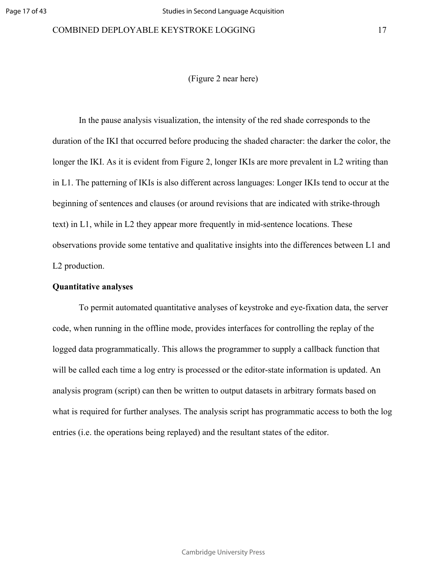(Figure 2 near here)

For the distribution and the unigodic 2 diges<br>delay appear more frequently in mid-sentence love<br>tentative and qualitative insights into the diversion<br>ded quantitative analyses of keystroke and eyer<br>offline mode, provides i In the pause analysis visualization, the intensity of the red shade corresponds to the duration of the IKI that occurred before producing the shaded character: the darker the color, the longer the IKI. As it is evident from Figure 2, longer IKIs are more prevalent in L2 writing than in L1. The patterning of IKIs is also different across languages: Longer IKIs tend to occur at the beginning of sentences and clauses (or around revisions that are indicated with strike-through text) in L1, while in L2 they appear more frequently in mid-sentence locations. These observations provide some tentative and qualitative insights into the differences between L1 and L2 production.

# **Quantitative analyses**

To permit automated quantitative analyses of keystroke and eye-fixation data, the server code, when running in the offline mode, provides interfaces for controlling the replay of the logged data programmatically. This allows the programmer to supply a callback function that will be called each time a log entry is processed or the editor-state information is updated. An analysis program (script) can then be written to output datasets in arbitrary formats based on what is required for further analyses. The analysis script has programmatic access to both the log entries (i.e. the operations being replayed) and the resultant states of the editor.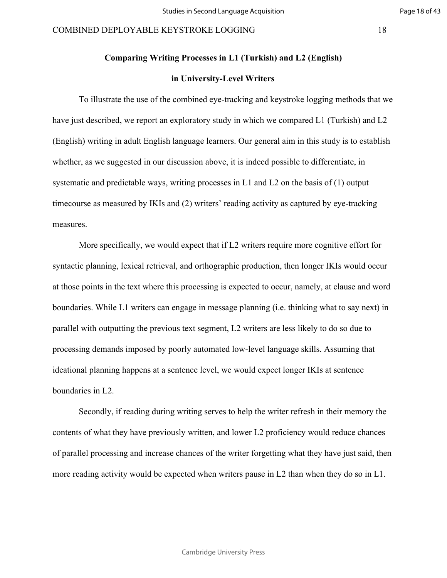# **Comparing Writing Processes in L1 (Turkish) and L2 (English)**

# **in University-Level Writers**

To illustrate the use of the combined eye-tracking and keystroke logging methods that we have just described, we report an exploratory study in which we compared L1 (Turkish) and L2 (English) writing in adult English language learners. Our general aim in this study is to establish whether, as we suggested in our discussion above, it is indeed possible to differentiate, in systematic and predictable ways, writing processes in L1 and L2 on the basis of (1) output timecourse as measured by IKIs and (2) writers' reading activity as captured by eye-tracking measures.

For  $n = 2$  and  $n = 2$  and  $n = 2$  and  $n = 2$  and  $n = 2$  and  $n = 2$  and  $n = 2$  and  $n = 2$  and  $n = 2$  and  $n = 2$  and  $n = 2$  and  $n = 2$  and  $n = 2$  and  $n = 2$  and  $n = 2$  and  $n = 2$  are  $n = 2$  and  $n = 2$  are  $n = 2$  are  $n = 2$  a More specifically, we would expect that if L2 writers require more cognitive effort for syntactic planning, lexical retrieval, and orthographic production, then longer IKIs would occur at those points in the text where this processing is expected to occur, namely, at clause and word boundaries. While L1 writers can engage in message planning (i.e. thinking what to say next) in parallel with outputting the previous text segment, L2 writers are less likely to do so due to processing demands imposed by poorly automated low-level language skills. Assuming that ideational planning happens at a sentence level, we would expect longer IKIs at sentence boundaries in L2.

Secondly, if reading during writing serves to help the writer refresh in their memory the contents of what they have previously written, and lower L2 proficiency would reduce chances of parallel processing and increase chances of the writer forgetting what they have just said, then more reading activity would be expected when writers pause in L2 than when they do so in L1.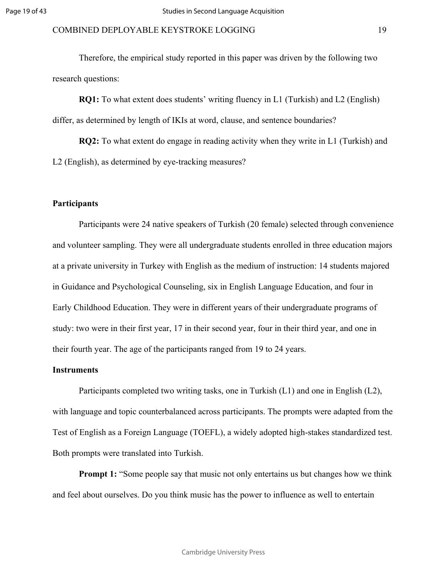Therefore, the empirical study reported in this paper was driven by the following two research questions:

**RQ1:** To what extent does students' writing fluency in L1 (Turkish) and L2 (English) differ, as determined by length of IKIs at word, clause, and sentence boundaries?

**RQ2:** To what extent do engage in reading activity when they write in L1 (Turkish) and L2 (English), as determined by eye-tracking measures?

# **Participants**

24 native speakers of Turkish (20 female) sel<br>
They were all undergraduate students enrolled<br>
Turkey with English as the medium of instruce<br>
gical Counseling, six in English Language E<br>
n. They were in different years of t Participants were 24 native speakers of Turkish (20 female) selected through convenience and volunteer sampling. They were all undergraduate students enrolled in three education majors at a private university in Turkey with English as the medium of instruction: 14 students majored in Guidance and Psychological Counseling, six in English Language Education, and four in Early Childhood Education. They were in different years of their undergraduate programs of study: two were in their first year, 17 in their second year, four in their third year, and one in their fourth year. The age of the participants ranged from 19 to 24 years.

# **Instruments**

Participants completed two writing tasks, one in Turkish (L1) and one in English (L2), with language and topic counterbalanced across participants. The prompts were adapted from the Test of English as a Foreign Language (TOEFL), a widely adopted high-stakes standardized test. Both prompts were translated into Turkish.

**Prompt 1:** "Some people say that music not only entertains us but changes how we think and feel about ourselves. Do you think music has the power to influence as well to entertain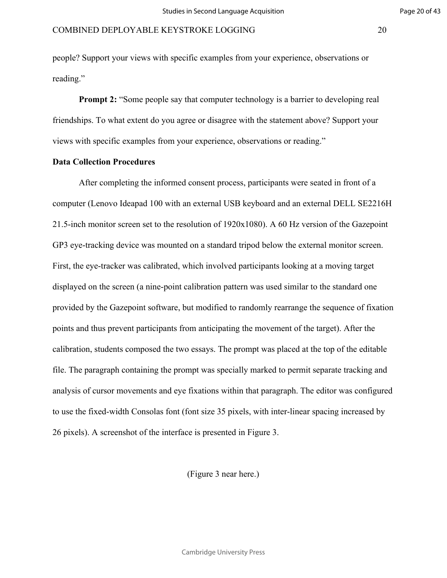people? Support your views with specific examples from your experience, observations or reading."

**Prompt 2:** "Some people say that computer technology is a barrier to developing real friendships. To what extent do you agree or disagree with the statement above? Support your views with specific examples from your experience, observations or reading."

# **Data Collection Procedures**

d 100 with an external USB keyboard and an<br>set to the resolution of 1920x1080). A 60 Hz<br>was mounted on a standard tripod below the c<br>calibrated, which involved participants looki<br>nine-point calibration pattern was used sim After completing the informed consent process, participants were seated in front of a computer (Lenovo Ideapad 100 with an external USB keyboard and an external DELL SE2216H 21.5-inch monitor screen set to the resolution of 1920x1080). A 60 Hz version of the Gazepoint GP3 eye-tracking device was mounted on a standard tripod below the external monitor screen. First, the eye-tracker was calibrated, which involved participants looking at a moving target displayed on the screen (a nine-point calibration pattern was used similar to the standard one provided by the Gazepoint software, but modified to randomly rearrange the sequence of fixation points and thus prevent participants from anticipating the movement of the target). After the calibration, students composed the two essays. The prompt was placed at the top of the editable file. The paragraph containing the prompt was specially marked to permit separate tracking and analysis of cursor movements and eye fixations within that paragraph. The editor was configured to use the fixed-width Consolas font (font size 35 pixels, with inter-linear spacing increased by 26 pixels). A screenshot of the interface is presented in Figure 3.

(Figure 3 near here.)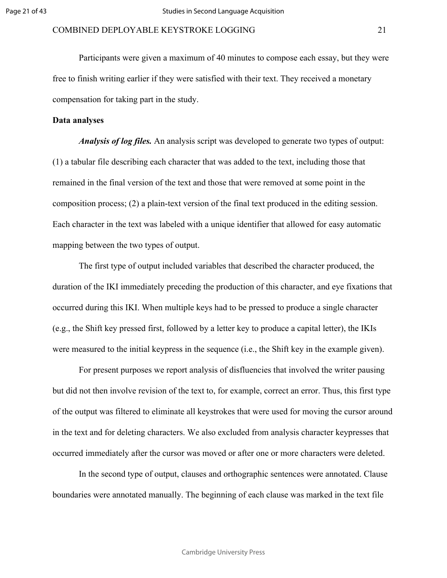Participants were given a maximum of 40 minutes to compose each essay, but they were free to finish writing earlier if they were satisfied with their text. They received a monetary compensation for taking part in the study.

# **Data analyses**

*Analysis of log files.* An analysis script was developed to generate two types of output: (1) a tabular file describing each character that was added to the text, including those that remained in the final version of the text and those that were removed at some point in the composition process; (2) a plain-text version of the final text produced in the editing session. Each character in the text was labeled with a unique identifier that allowed for easy automatic mapping between the two types of output.

For Particular materials must be the control of<br>a plain-text version of the final text produced<br>was labeled with a unique identifier that allo<br>types of output.<br>utput included variables that described the ch<br>liately precedi The first type of output included variables that described the character produced, the duration of the IKI immediately preceding the production of this character, and eye fixations that occurred during this IKI. When multiple keys had to be pressed to produce a single character (e.g., the Shift key pressed first, followed by a letter key to produce a capital letter), the IKIs were measured to the initial keypress in the sequence (i.e., the Shift key in the example given).

For present purposes we report analysis of disfluencies that involved the writer pausing but did not then involve revision of the text to, for example, correct an error. Thus, this first type of the output was filtered to eliminate all keystrokes that were used for moving the cursor around in the text and for deleting characters. We also excluded from analysis character keypresses that occurred immediately after the cursor was moved or after one or more characters were deleted.

In the second type of output, clauses and orthographic sentences were annotated. Clause boundaries were annotated manually. The beginning of each clause was marked in the text file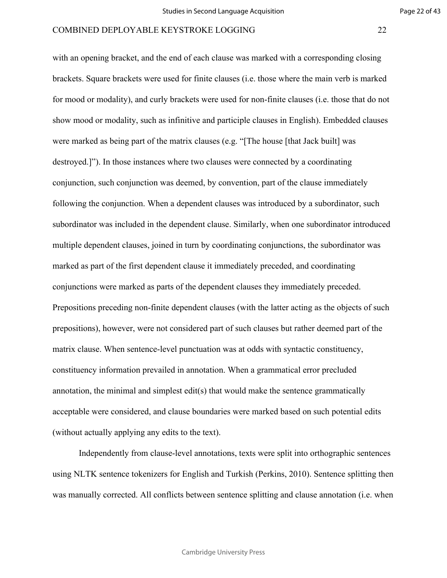There was arrived, by constrained, pursual constrained and the set and a separate clauses was introduced both in the dependent clause. Similarly, when on ss, joined in turn by coordinating conjunction dependent clause it i with an opening bracket, and the end of each clause was marked with a corresponding closing brackets. Square brackets were used for finite clauses (i.e. those where the main verb is marked for mood or modality), and curly brackets were used for non-finite clauses (i.e. those that do not show mood or modality, such as infinitive and participle clauses in English). Embedded clauses were marked as being part of the matrix clauses (e.g. "[The house [that Jack built] was destroyed.]"). In those instances where two clauses were connected by a coordinating conjunction, such conjunction was deemed, by convention, part of the clause immediately following the conjunction. When a dependent clauses was introduced by a subordinator, such subordinator was included in the dependent clause. Similarly, when one subordinator introduced multiple dependent clauses, joined in turn by coordinating conjunctions, the subordinator was marked as part of the first dependent clause it immediately preceded, and coordinating conjunctions were marked as parts of the dependent clauses they immediately preceded. Prepositions preceding non-finite dependent clauses (with the latter acting as the objects of such prepositions), however, were not considered part of such clauses but rather deemed part of the matrix clause. When sentence-level punctuation was at odds with syntactic constituency, constituency information prevailed in annotation. When a grammatical error precluded annotation, the minimal and simplest edit(s) that would make the sentence grammatically acceptable were considered, and clause boundaries were marked based on such potential edits (without actually applying any edits to the text).

Independently from clause-level annotations, texts were split into orthographic sentences using NLTK sentence tokenizers for English and Turkish [\(Perkins, 2010\).](https://paperpile.com/c/Tko6jV/ZHMhM) Sentence splitting then was manually corrected. All conflicts between sentence splitting and clause annotation (i.e. when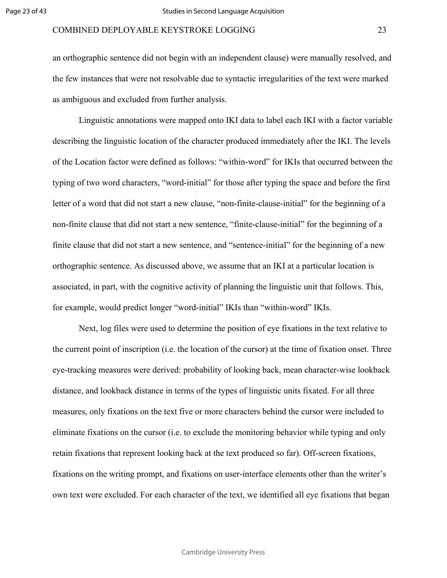an orthographic sentence did not begin with an independent clause) were manually resolved, and the few instances that were not resolvable due to syntactic irregularities of the text were marked as ambiguous and excluded from further analysis.

For the main terms and the entirely-<br>that is the set of the set of the set of the set of the set of the set of<br>that a new sentence, "finite-clause-initial" for discussed above, we assume that an IKI at a<br>e cognitive activi Linguistic annotations were mapped onto IKI data to label each IKI with a factor variable describing the linguistic location of the character produced immediately after the IKI. The levels of the Location factor were defined as follows: "within-word" for IKIs that occurred between the typing of two word characters, "word-initial" for those after typing the space and before the first letter of a word that did not start a new clause, "non-finite-clause-initial" for the beginning of a non-finite clause that did not start a new sentence, "finite-clause-initial" for the beginning of a finite clause that did not start a new sentence, and "sentence-initial" for the beginning of a new orthographic sentence. As discussed above, we assume that an IKI at a particular location is associated, in part, with the cognitive activity of planning the linguistic unit that follows. This, for example, would predict longer "word-initial" IKIs than "within-word" IKIs.

Next, log files were used to determine the position of eye fixations in the text relative to the current point of inscription (i.e. the location of the cursor) at the time of fixation onset. Three eye-tracking measures were derived: probability of looking back, mean character-wise lookback distance, and lookback distance in terms of the types of linguistic units fixated. For all three measures, only fixations on the text five or more characters behind the cursor were included to eliminate fixations on the cursor (i.e. to exclude the monitoring behavior while typing and only retain fixations that represent looking back at the text produced so far). Off-screen fixations, fixations on the writing prompt, and fixations on user-interface elements other than the writer's own text were excluded. For each character of the text, we identified all eye fixations that began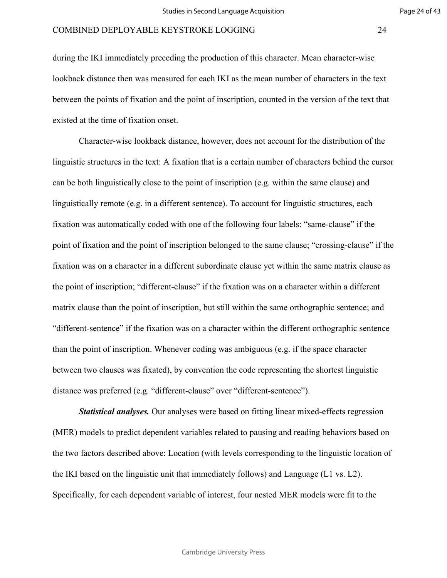during the IKI immediately preceding the production of this character. Mean character-wise lookback distance then was measured for each IKI as the mean number of characters in the text between the points of fixation and the point of inscription, counted in the version of the text that existed at the time of fixation onset.

For Permanular products and products of the permaneum of the following four labels<br>in a different sentence). To account for lingu<br>oint of inscription belonged to the same clau<br>r in a different subordinate clause yet withi Character-wise lookback distance, however, does not account for the distribution of the linguistic structures in the text: A fixation that is a certain number of characters behind the cursor can be both linguistically close to the point of inscription (e.g. within the same clause) and linguistically remote (e.g. in a different sentence). To account for linguistic structures, each fixation was automatically coded with one of the following four labels: "same-clause" if the point of fixation and the point of inscription belonged to the same clause; "crossing-clause" if the fixation was on a character in a different subordinate clause yet within the same matrix clause as the point of inscription; "different-clause" if the fixation was on a character within a different matrix clause than the point of inscription, but still within the same orthographic sentence; and "different-sentence" if the fixation was on a character within the different orthographic sentence than the point of inscription. Whenever coding was ambiguous (e.g. if the space character between two clauses was fixated), by convention the code representing the shortest linguistic distance was preferred (e.g. "different-clause" over "different-sentence").

*Statistical analyses.* Our analyses were based on fitting linear mixed-effects regression (MER) models to predict dependent variables related to pausing and reading behaviors based on the two factors described above: Location (with levels corresponding to the linguistic location of the IKI based on the linguistic unit that immediately follows) and Language (L1 vs. L2). Specifically, for each dependent variable of interest, four nested MER models were fit to the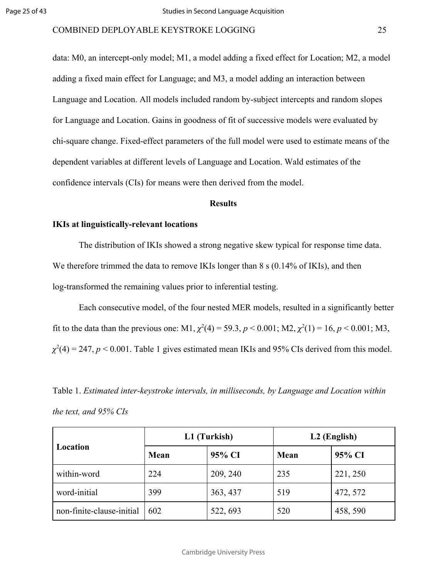data: M0, an intercept-only model; M1, a model adding a fixed effect for Location; M2, a model adding a fixed main effect for Language; and M3, a model adding an interaction between Language and Location. All models included random by-subject intercepts and random slopes for Language and Location. Gains in goodness of fit of successive models were evaluated by chi-square change. Fixed-effect parameters of the full model were used to estimate means of the dependent variables at different levels of Language and Location. Wald estimates of the confidence intervals (CIs) for means were then derived from the model.

#### **Results**

# **IKIs at linguistically-relevant locations**

**Results**<br>**Results**<br>**Results**<br>**Results**<br>**Results**<br>**Results**<br>**Results**<br>**Results**<br>**Results**<br>**Results**<br>**Results**<br>**Results**<br>**Results**<br>**Results**<br>**Results**<br>**Results**<br>**Results**<br>**Results**<br>**Results**<br>**Results**<br>**Results**<br>**Results**<br> The distribution of IKIs showed a strong negative skew typical for response time data. We therefore trimmed the data to remove IKIs longer than 8 s (0.14% of IKIs), and then log-transformed the remaining values prior to inferential testing.

Each consecutive model, of the four nested MER models, resulted in a significantly better fit to the data than the previous one: M1,  $\chi^2(4) = 59.3$ ,  $p < 0.001$ ; M2,  $\chi^2(1) = 16$ ,  $p < 0.001$ ; M3,  $\chi^2(4) = 247$ ,  $p < 0.001$ . Table 1 gives estimated mean IKIs and 95% CIs derived from this model.

Table 1. *Estimated inter-keystroke intervals, in milliseconds, by Language and Location within the text, and 95% CIs*

|                           |      | L1 (Turkish) | L <sub>2</sub> (English) |          |  |
|---------------------------|------|--------------|--------------------------|----------|--|
| Location                  | Mean | 95% CI       | Mean                     | 95% CI   |  |
| within-word               | 224  | 209, 240     | 235                      | 221, 250 |  |
| word-initial              | 399  | 363, 437     | 519                      | 472, 572 |  |
| non-finite-clause-initial | 602  | 522, 693     | 520                      | 458, 590 |  |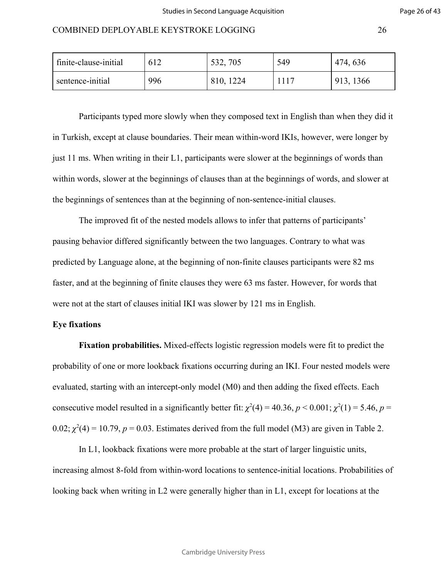| finite-clause-initial |     | 532, 705  | 549 | 474, 636  |
|-----------------------|-----|-----------|-----|-----------|
| sentence-initial      | 996 | 810, 1224 |     | 913, 1366 |

Participants typed more slowly when they composed text in English than when they did it in Turkish, except at clause boundaries. Their mean within-word IKIs, however, were longer by just 11 ms. When writing in their L1, participants were slower at the beginnings of words than within words, slower at the beginnings of clauses than at the beginnings of words, and slower at the beginnings of sentences than at the beginning of non-sentence-initial clauses.

es than at the beginning of non-sentence-initial<br>of the nested models allows to infer that patte<br>significantly between the two languages. Co<br>one, at the beginning of non-finite clauses par<br>g of finite clauses they were 63 The improved fit of the nested models allows to infer that patterns of participants' pausing behavior differed significantly between the two languages. Contrary to what was predicted by Language alone, at the beginning of non-finite clauses participants were 82 ms faster, and at the beginning of finite clauses they were 63 ms faster. However, for words that were not at the start of clauses initial IKI was slower by 121 ms in English.

# **Eye fixations**

**Fixation probabilities.** Mixed-effects logistic regression models were fit to predict the probability of one or more lookback fixations occurring during an IKI. Four nested models were evaluated, starting with an intercept-only model (M0) and then adding the fixed effects. Each consecutive model resulted in a significantly better fit:  $\chi^2(4) = 40.36$ ,  $p < 0.001$ ;  $\chi^2(1) = 5.46$ ,  $p =$  $0.02$ ;  $\chi^2(4) = 10.79$ ,  $p = 0.03$ . Estimates derived from the full model (M3) are given in Table 2.

In L1, lookback fixations were more probable at the start of larger linguistic units, increasing almost 8-fold from within-word locations to sentence-initial locations. Probabilities of looking back when writing in L2 were generally higher than in L1, except for locations at the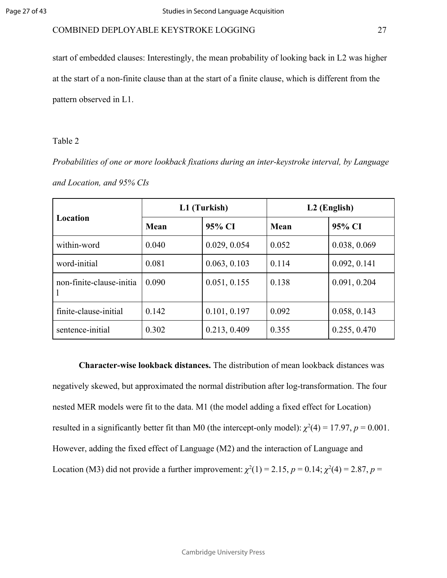start of embedded clauses: Interestingly, the mean probability of looking back in L2 was higher at the start of a non-finite clause than at the start of a finite clause, which is different from the pattern observed in L1.

# Table 2

*Probabilities of one or more lookback fixations during an inter-keystroke interval, by Language and Location, and 95% CIs*

|                          |       | L1 (Turkish) |       | L <sub>2</sub> (English) |
|--------------------------|-------|--------------|-------|--------------------------|
| Location                 | Mean  | 95% CI       | Mean  | 95% CI                   |
| within-word              | 0.040 | 0.029, 0.054 | 0.052 | 0.038, 0.069             |
| word-initial             | 0.081 | 0.063, 0.103 | 0.114 | 0.092, 0.141             |
| non-finite-clause-initia | 0.090 | 0.051, 0.155 | 0.138 | 0.091, 0.204             |
| finite-clause-initial    | 0.142 | 0.101, 0.197 | 0.092 | 0.058, 0.143             |
| sentence-initial         | 0.302 | 0.213, 0.409 | 0.355 | 0.255, 0.470             |

**Character-wise lookback distances.** The distribution of mean lookback distances was negatively skewed, but approximated the normal distribution after log-transformation. The four nested MER models were fit to the data. M1 (the model adding a fixed effect for Location) resulted in a significantly better fit than M0 (the intercept-only model):  $\chi^2(4) = 17.97$ ,  $p = 0.001$ . However, adding the fixed effect of Language (M2) and the interaction of Language and Location (M3) did not provide a further improvement:  $\chi^2(1) = 2.15$ ,  $p = 0.14$ ;  $\chi^2(4) = 2.87$ ,  $p = 0.14$ ;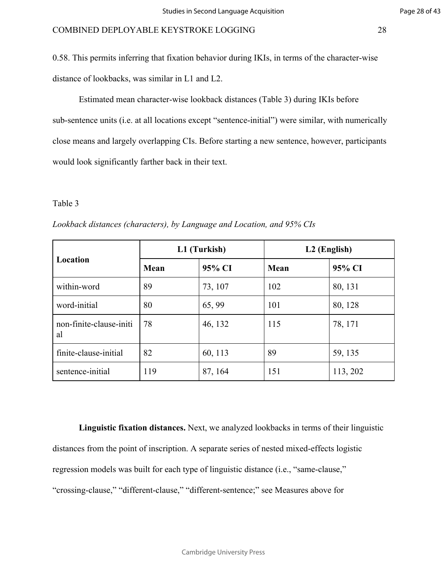0.58. This permits inferring that fixation behavior during IKIs, in terms of the character-wise distance of lookbacks, was similar in L1 and L2.

Estimated mean character-wise lookback distances (Table 3) during IKIs before sub-sentence units (i.e. at all locations except "sentence-initial") were similar, with numerically close means and largely overlapping CIs. Before starting a new sentence, however, participants would look significantly farther back in their text.

# Table 3

| Table 3                                                                |      |              |                          |          |
|------------------------------------------------------------------------|------|--------------|--------------------------|----------|
| Lookback distances (characters), by Language and Location, and 95% CIs |      |              |                          |          |
|                                                                        |      | L1 (Turkish) | L <sub>2</sub> (English) |          |
| Location                                                               | Mean | 95% CI       | Mean                     | 95% CI   |
| within-word                                                            | 89   | 73, 107      | 102                      | 80, 131  |
| word-initial                                                           | 80   | 65, 99       | 101                      | 80, 128  |
| non-finite-clause-initi<br>al                                          | 78   | 46, 132      | 115                      | 78, 171  |
| finite-clause-initial                                                  | 82   | 60, 113      | 89                       | 59, 135  |
| sentence-initial                                                       | 119  | 87, 164      | 151                      | 113, 202 |

*Lookback distances (characters), by Language and Location, and 95% CIs*

**Linguistic fixation distances.** Next, we analyzed lookbacks in terms of their linguistic distances from the point of inscription. A separate series of nested mixed-effects logistic regression models was built for each type of linguistic distance (i.e., "same-clause," "crossing-clause," "different-clause," "different-sentence;" see Measures above for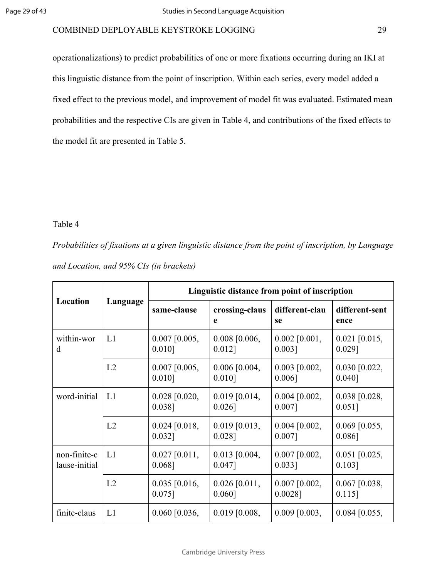operationalizations) to predict probabilities of one or more fixations occurring during an IKI at this linguistic distance from the point of inscription. Within each series, every model added a fixed effect to the previous model, and improvement of model fit was evaluated. Estimated mean probabilities and the respective CIs are given in Table 4, and contributions of the fixed effects to the model fit are presented in Table 5.

# Table 4

| Table 4                                 |          |                              |                                                                                                      |                               |                              |
|-----------------------------------------|----------|------------------------------|------------------------------------------------------------------------------------------------------|-------------------------------|------------------------------|
|                                         |          |                              | Probabilities of fixations at a given linguistic distance from the point of inscription, by Language |                               |                              |
| and Location, and 95% CIs (in brackets) |          |                              |                                                                                                      |                               |                              |
|                                         |          |                              | Linguistic distance from point of inscription                                                        |                               |                              |
| Location                                | Language | same-clause                  | crossing-claus<br>e                                                                                  | different-clau<br>se          | different-sent<br>ence       |
| within-wor<br>d                         | L1       | $0.007$ [0.005,<br>$0.010$ ] | 0.008 [0.006,<br>$0.012$ ]                                                                           | $0.002$ [0.001,<br>$0.003$ ]  | $0.021$ [0.015,<br>$0.029$ ] |
|                                         | L2       | $0.007$ [0.005,<br>$0.010$ ] | $0.006$ [0.004,<br>$0.010$ ]                                                                         | $0.003$ [0.002,<br>$0.006$ ]  | $0.030$ [0.022,<br>0.040]    |
| word-initial                            | L1       | $0.028$ [0.020,<br>$0.038$ ] | $0.019$ [0.014,<br>$0.026$ ]                                                                         | $0.004$ [0.002,<br>$0.007$ ]  | $0.038$ [0.028,<br>$0.051$ ] |
|                                         | L2       | $0.024$ [0.018,<br>$0.032$ ] | $0.019$ [0.013,<br>$0.028$ ]                                                                         | $0.004$ [0.002,<br>$0.007$ ]  | $0.069$ [0.055,<br>$0.086$ ] |
| non-finite-c<br>lause-initial           | L1       | $0.027$ [0.011,<br>$0.068$ ] | $0.013$ [0.004,<br>$0.047$ ]                                                                         | $0.007$ [0.002,<br>$0.033$ ]  | $0.051$ [0.025,<br>$0.103$ ] |
|                                         | L2       | $0.035$ [0.016,<br>$0.075$ ] | $0.026$ [0.011,<br>0.060]                                                                            | $0.007$ [0.002,<br>$0.0028$ ] | $0.067$ [0.038,<br>$0.115$ ] |
| finite-claus                            | L1       | $0.060$ [0.036,              | $0.019$ [0.008,                                                                                      | $0.009$ [0.003,               | $0.084$ [0.055,              |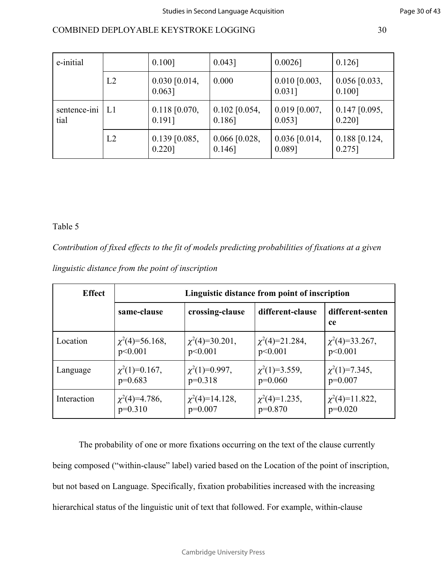| e-initial            |                | $0.100$ ]                    | $0.043$ ]                    | $0.0026$ ]                   | $0.126$ ]                    |
|----------------------|----------------|------------------------------|------------------------------|------------------------------|------------------------------|
|                      | L2             | $0.030$ [0.014,<br>$0.063$ ] | 0.000                        | $0.010$ [0.003,<br>$0.031$ ] | $0.056$ [0.033,<br>$0.100$ ] |
| sentence-ini<br>tial | L <sub>1</sub> | $0.118$ [0.070,<br>0.191]    | $0.102$ [0.054,<br>$0.186$ ] | $0.019$ [0.007,<br>$0.053$ ] | $0.147$ [0.095,<br>$0.220$ ] |
|                      | L2             | $0.139$ [0.085,<br>$0.220$ ] | $0.066$ [0.028,<br>$0.146$ ] | $0.036$ [0.014,<br>0.089]    | $0.188$ [0.124,<br>$0.275$ ] |

# Table 5

|  |  |  | linguistic distance from the point of inscription |
|--|--|--|---------------------------------------------------|
|  |  |  |                                                   |

| Table 5       |                                                                                                     |                                 |                                               |                                  |
|---------------|-----------------------------------------------------------------------------------------------------|---------------------------------|-----------------------------------------------|----------------------------------|
|               | Contribution of fixed effects to the fit of models predicting probabilities of fixations at a given |                                 |                                               |                                  |
|               | linguistic distance from the point of inscription                                                   |                                 |                                               |                                  |
| <b>Effect</b> |                                                                                                     |                                 | Linguistic distance from point of inscription |                                  |
|               | same-clause                                                                                         | crossing-clause                 | different-clause                              | different-senten<br>ce           |
| Location      | $\chi^2(4)=56.168,$<br>p<0.001                                                                      | $\chi^2(4)=30.201,$<br>p<0.001  | $\chi^2(4)=21.284$ ,<br>p<0.001               | $\chi^2(4)=33.267$ ,<br>p<0.001  |
| Language      | $\chi^2(1)=0.167$ ,<br>$p=0.683$                                                                    | $\chi^2(1)=0.997,$<br>$p=0.318$ | $\chi^2(1)=3.559,$<br>$p=0.060$               | $\chi^2(1)=7.345$ ,<br>$p=0.007$ |
| Interaction   | $\chi^2(4)=4.786$ ,                                                                                 | $\chi^2(4)=14.128$ ,            | $\chi^2(4)=1.235,$                            | $\chi^2(4)=11.822$ ,             |

The probability of one or more fixations occurring on the text of the clause currently being composed ("within-clause" label) varied based on the Location of the point of inscription, but not based on Language. Specifically, fixation probabilities increased with the increasing hierarchical status of the linguistic unit of text that followed. For example, within-clause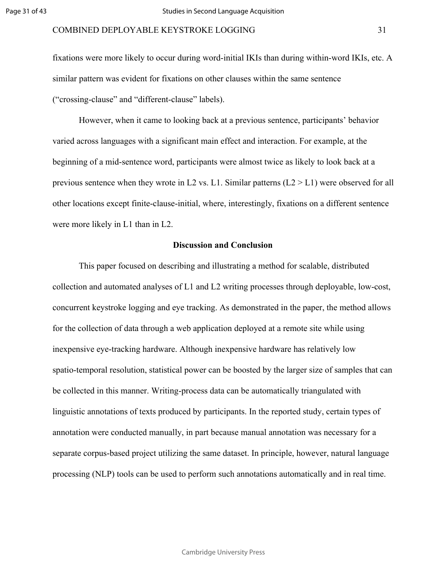fixations were more likely to occur during word-initial IKIs than during within-word IKIs, etc. A similar pattern was evident for fixations on other clauses within the same sentence ("crossing-clause" and "different-clause" labels).

However, when it came to looking back at a previous sentence, participants' behavior varied across languages with a significant main effect and interaction. For example, at the beginning of a mid-sentence word, participants were almost twice as likely to look back at a previous sentence when they wrote in L2 vs. L1. Similar patterns  $(L2 > L1)$  were observed for all other locations except finite-clause-initial, where, interestingly, fixations on a different sentence were more likely in L1 than in L2.

#### **Discussion and Conclusion**

Example 1972 For Detection and Function (DF)<br>te-clause-initial, where, interestingly, fixatio<br>an in L2.<br>**Discussion and Conclusion**<br>d on describing and illustrating a method for<br>analyses of L1 and L2 writing processes thro This paper focused on describing and illustrating a method for scalable, distributed collection and automated analyses of L1 and L2 writing processes through deployable, low-cost, concurrent keystroke logging and eye tracking. As demonstrated in the paper, the method allows for the collection of data through a web application deployed at a remote site while using inexpensive eye-tracking hardware. Although inexpensive hardware has relatively low spatio-temporal resolution, statistical power can be boosted by the larger size of samples that can be collected in this manner. Writing-process data can be automatically triangulated with linguistic annotations of texts produced by participants. In the reported study, certain types of annotation were conducted manually, in part because manual annotation was necessary for a separate corpus-based project utilizing the same dataset. In principle, however, natural language processing (NLP) tools can be used to perform such annotations automatically and in real time.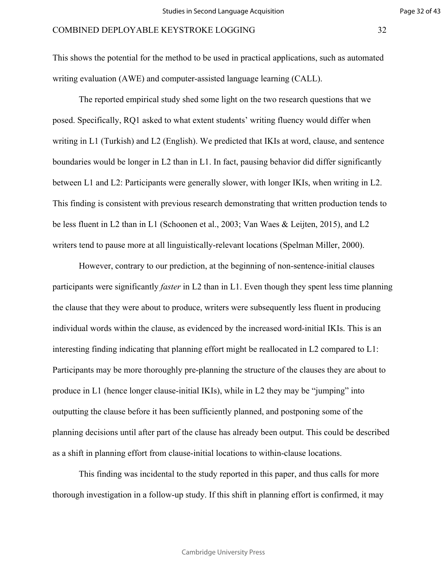Page 32 of 43

This shows the potential for the method to be used in practical applications, such as automated writing evaluation (AWE) and computer-assisted language learning (CALL).

The reported empirical study shed some light on the two research questions that we posed. Specifically, RQ1 asked to what extent students' writing fluency would differ when writing in L1 (Turkish) and L2 (English). We predicted that IKIs at word, clause, and sentence boundaries would be longer in L2 than in L1. In fact, pausing behavior did differ significantly between L1 and L2: Participants were generally slower, with longer IKIs, when writing in L2. This finding is consistent with previous research demonstrating that written production tends to be less fluent in L2 than in L1 [\(Schoonen et al., 2003; Van Waes & Leijten, 2015\)](https://paperpile.com/c/Tko6jV/u4yq8+zxc4I), and L2 writers tend to pause more at all linguistically-relevant locations [\(Spelman Miller, 2000\)](https://paperpile.com/c/Tko6jV/pF9ct).

with previous research demonstrating that with previous research demonstrating that with 1 L1 (Schoonen et al., 2003; Van Waes & Le et all linguistically-relevant locations (Speln to our prediction, at the beginning of non However, contrary to our prediction, at the beginning of non-sentence-initial clauses participants were significantly *faster* in L2 than in L1. Even though they spent less time planning the clause that they were about to produce, writers were subsequently less fluent in producing individual words within the clause, as evidenced by the increased word-initial IKIs. This is an interesting finding indicating that planning effort might be reallocated in L2 compared to L1: Participants may be more thoroughly pre-planning the structure of the clauses they are about to produce in L1 (hence longer clause-initial IKIs), while in L2 they may be "jumping" into outputting the clause before it has been sufficiently planned, and postponing some of the planning decisions until after part of the clause has already been output. This could be described as a shift in planning effort from clause-initial locations to within-clause locations.

This finding was incidental to the study reported in this paper, and thus calls for more thorough investigation in a follow-up study. If this shift in planning effort is confirmed, it may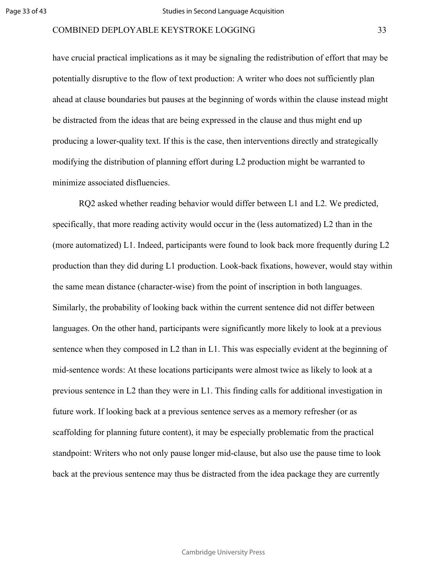have crucial practical implications as it may be signaling the redistribution of effort that may be potentially disruptive to the flow of text production: A writer who does not sufficiently plan ahead at clause boundaries but pauses at the beginning of words within the clause instead might be distracted from the ideas that are being expressed in the clause and thus might end up producing a lower-quality text. If this is the case, then interventions directly and strategically modifying the distribution of planning effort during L2 production might be warranted to minimize associated disfluencies.

For Freading behavior would differ between L1<br>ding activity would occur in the (less automa<br>ideed, participants were found to look back n<br>luring L1 production. Look-back fixations, h<br>haracter-wise) from the point of inscri RQ2 asked whether reading behavior would differ between L1 and L2. We predicted, specifically, that more reading activity would occur in the (less automatized) L2 than in the (more automatized) L1. Indeed, participants were found to look back more frequently during L2 production than they did during L1 production. Look-back fixations, however, would stay within the same mean distance (character-wise) from the point of inscription in both languages. Similarly, the probability of looking back within the current sentence did not differ between languages. On the other hand, participants were significantly more likely to look at a previous sentence when they composed in L2 than in L1. This was especially evident at the beginning of mid-sentence words: At these locations participants were almost twice as likely to look at a previous sentence in L2 than they were in L1. This finding calls for additional investigation in future work. If looking back at a previous sentence serves as a memory refresher (or as scaffolding for planning future content), it may be especially problematic from the practical standpoint: Writers who not only pause longer mid-clause, but also use the pause time to look back at the previous sentence may thus be distracted from the idea package they are currently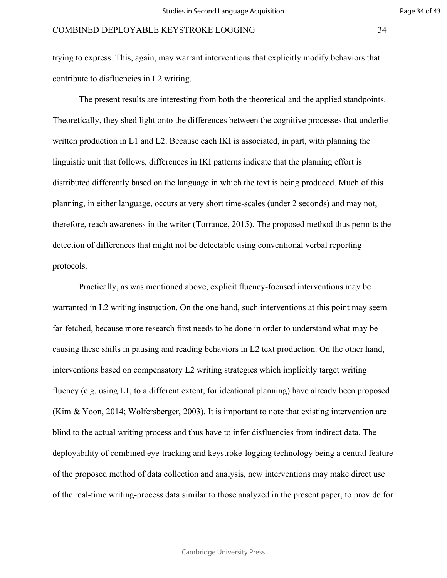trying to express. This, again, may warrant interventions that explicitly modify behaviors that contribute to disfluencies in L2 writing.

The present results are interesting from both the theoretical and the applied standpoints. Theoretically, they shed light onto the differences between the cognitive processes that underlie written production in L1 and L2. Because each IKI is associated, in part, with planning the linguistic unit that follows, differences in IKI patterns indicate that the planning effort is distributed differently based on the language in which the text is being produced. Much of this planning, in either language, occurs at very short time-scales (under 2 seconds) and may not, therefore, reach awareness in the writer (Torrance, 2015). The proposed method thus permits the detection of differences that might not be detectable using conventional verbal reporting protocols.

ge, occurs at very short time-scales (under 2 s<br>in the writer (Torrance, 2015). The propose<br>at might not be detectable using conventiona<br>mentioned above, explicit fluency-focused is<br>instruction. On the one hand, such inter Practically, as was mentioned above, explicit fluency-focused interventions may be warranted in L2 writing instruction. On the one hand, such interventions at this point may seem far-fetched, because more research first needs to be done in order to understand what may be causing these shifts in pausing and reading behaviors in L2 text production. On the other hand, interventions based on compensatory L2 writing strategies which implicitly target writing fluency (e.g. using L1, to a different extent, for ideational planning) have already been proposed [\(Kim & Yoon, 2014; Wolfersberger, 2003\).](https://paperpile.com/c/Tko6jV/C4wr1+2UVzX) It is important to note that existing intervention are blind to the actual writing process and thus have to infer disfluencies from indirect data. The deployability of combined eye-tracking and keystroke-logging technology being a central feature of the proposed method of data collection and analysis, new interventions may make direct use of the real-time writing-process data similar to those analyzed in the present paper, to provide for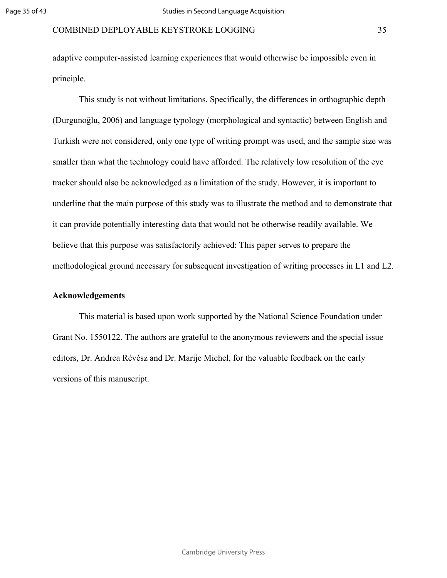adaptive computer-assisted learning experiences that would otherwise be impossible even in principle.

rrows of this study was to illustrate the meth<br>interesting data that would not be otherwise is<br>vas satisfactorily achieved: This paper serves<br>cessary for subsequent investigation of writi<br>sed upon work supported by the Nat This study is not without limitations. Specifically, the differences in orthographic depth [\(Durgunoğlu, 2006\)](https://paperpile.com/c/Tko6jV/kYur) and language typology (morphological and syntactic) between English and Turkish were not considered, only one type of writing prompt was used, and the sample size was smaller than what the technology could have afforded. The relatively low resolution of the eye tracker should also be acknowledged as a limitation of the study. However, it is important to underline that the main purpose of this study was to illustrate the method and to demonstrate that it can provide potentially interesting data that would not be otherwise readily available. We believe that this purpose was satisfactorily achieved: This paper serves to prepare the methodological ground necessary for subsequent investigation of writing processes in L1 and L2.

# **Acknowledgements**

This material is based upon work supported by the National Science Foundation under Grant No. 1550122. The authors are grateful to the anonymous reviewers and the special issue editors, Dr. Andrea Révész and Dr. Marije Michel, for the valuable feedback on the early versions of this manuscript.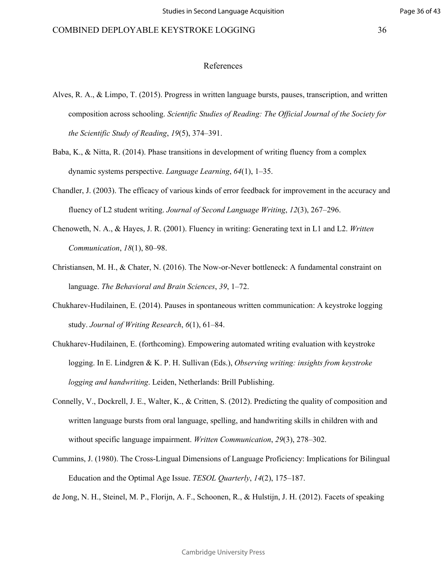- [Alves, R. A., & Limpo, T. \(2015\). Progress in written language bursts, pauses, transcription, and written](http://paperpile.com/b/Tko6jV/ObI4l) [composition across schooling.](http://paperpile.com/b/Tko6jV/ObI4l) *[Scientific Studies of Reading: The Official Journal of the Society for](http://paperpile.com/b/Tko6jV/ObI4l) [the Scientific Study of Reading](http://paperpile.com/b/Tko6jV/ObI4l)*[,](http://paperpile.com/b/Tko6jV/ObI4l) *[19](http://paperpile.com/b/Tko6jV/ObI4l)*[\(5\), 374–391.](http://paperpile.com/b/Tko6jV/ObI4l)
- [Baba, K., & Nitta, R. \(2014\). Phase transitions in development of writing fluency from a complex](http://paperpile.com/b/Tko6jV/QpzmV) [dynamic systems perspective.](http://paperpile.com/b/Tko6jV/QpzmV) *[Language Learning](http://paperpile.com/b/Tko6jV/QpzmV)*[,](http://paperpile.com/b/Tko6jV/QpzmV) *[64](http://paperpile.com/b/Tko6jV/QpzmV)*[\(1\), 1–35.](http://paperpile.com/b/Tko6jV/QpzmV)
- [Chandler, J. \(2003\). The efficacy of various kinds of error feedback for improvement in the accuracy and](http://paperpile.com/b/Tko6jV/gcYQ3) [fluency of L2 student writing.](http://paperpile.com/b/Tko6jV/gcYQ3) *Journal of Second Language Writing*, *12*[\(3\), 267–296.](http://paperpile.com/b/Tko6jV/gcYQ3)
- [Chenoweth, N. A., & Hayes, J. R. \(2001\). Fluency in writing: Generating text in L1 and L2.](http://paperpile.com/b/Tko6jV/6wBBd) *[Written](http://paperpile.com/b/Tko6jV/6wBBd) [Communication](http://paperpile.com/b/Tko6jV/6wBBd)*[,](http://paperpile.com/b/Tko6jV/6wBBd) *[18](http://paperpile.com/b/Tko6jV/6wBBd)*[\(1\), 80–98.](http://paperpile.com/b/Tko6jV/6wBBd)
- [Christiansen, M. H., & Chater, N. \(2016\). The Now-or-Never bottleneck: A fundamental constraint on](http://paperpile.com/b/Tko6jV/PHOA) [language.](http://paperpile.com/b/Tko6jV/PHOA) *[The Behavioral and Brain Sciences](http://paperpile.com/b/Tko6jV/PHOA)*, *39*, 1–72.
- [Chukharev-Hudilainen, E. \(2014\). Pauses in spontaneous written communication: A keystroke logging](http://paperpile.com/b/Tko6jV/pnWvF) [study.](http://paperpile.com/b/Tko6jV/pnWvF) *[Journal of Writing Research](http://paperpile.com/b/Tko6jV/pnWvF)*, *6*(1), 61–84.
- cacy of various kinds of [er](http://paperpile.com/b/Tko6jV/PHOA)ror feedback for improrting. Journal of Second Language Writing, 12(<br>
J. [R](http://paperpile.com/b/Tko6jV/PHOA). (2001). Fluency in writing: Generating tex<br>
80–98.<br>
er, N. (2016). The Now-or-Never bottleneck: A 1<br>
ral and Brain Sci [Chukharev-Hudilainen, E. \(forthcoming\). Empowering automated writing evaluation with keystroke](http://paperpile.com/b/Tko6jV/7GaR) [logging. In E. Lindgren & K. P. H. Sullivan \(Eds.\),](http://paperpile.com/b/Tko6jV/7GaR) *[Observing writing: insights from keystroke](http://paperpile.com/b/Tko6jV/7GaR) [logging and handwriting](http://paperpile.com/b/Tko6jV/7GaR)*[. Leiden, Netherlands: Brill Publishing.](http://paperpile.com/b/Tko6jV/7GaR)
- [Connelly, V., Dockrell, J. E., Walter, K., & Critten, S. \(2012\). Predicting the quality of composition and](http://paperpile.com/b/Tko6jV/qyQCN) [written language bursts from oral language, spelling, and handwriting skills in children with and](http://paperpile.com/b/Tko6jV/qyQCN) [without specific language impairment.](http://paperpile.com/b/Tko6jV/qyQCN) *[Written Communication](http://paperpile.com/b/Tko6jV/qyQCN)*[,](http://paperpile.com/b/Tko6jV/qyQCN) *[29](http://paperpile.com/b/Tko6jV/qyQCN)*[\(3\), 278–302.](http://paperpile.com/b/Tko6jV/qyQCN)
- [Cummins, J. \(1980\). The Cross-Lingual Dimensions of Language Proficiency: Implications for Bilingual](http://paperpile.com/b/Tko6jV/vcs8T) [Education and the Optimal Age Issue.](http://paperpile.com/b/Tko6jV/vcs8T) *[TESOL Quarterly](http://paperpile.com/b/Tko6jV/vcs8T)*[,](http://paperpile.com/b/Tko6jV/vcs8T) *[14](http://paperpile.com/b/Tko6jV/vcs8T)*[\(2\), 175–187.](http://paperpile.com/b/Tko6jV/vcs8T)

[de Jong, N. H., Steinel, M. P., Florijn, A. F., Schoonen, R., & Hulstijn, J. H. \(2012\). Facets of speaking](http://paperpile.com/b/Tko6jV/BplDk)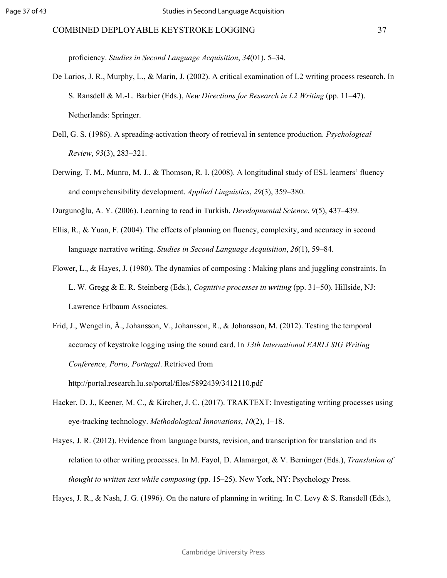[proficiency.](http://paperpile.com/b/Tko6jV/BplDk) *[Studies in Second Language Acquisition](http://paperpile.com/b/Tko6jV/BplDk)*[,](http://paperpile.com/b/Tko6jV/BplDk) *[34](http://paperpile.com/b/Tko6jV/BplDk)*[\(01\), 5–34.](http://paperpile.com/b/Tko6jV/BplDk)

- [De Larios, J. R., Murphy, L., & Marín, J. \(2002\). A critical examination of L2 writing process research. In](http://paperpile.com/b/Tko6jV/9VqnD) [S. Ransdell & M.-L. Barbier \(Eds.\),](http://paperpile.com/b/Tko6jV/9VqnD) *[New Directions for Research in L2 Writing](http://paperpile.com/b/Tko6jV/9VqnD)* [\(pp. 11–47\).](http://paperpile.com/b/Tko6jV/9VqnD) [Netherlands: Springer.](http://paperpile.com/b/Tko6jV/9VqnD)
- [Dell, G. S. \(1986\). A spreading-activation theory of retrieval in sentence production.](http://paperpile.com/b/Tko6jV/SCzXZ) *[Psychological](http://paperpile.com/b/Tko6jV/SCzXZ) [Review](http://paperpile.com/b/Tko6jV/SCzXZ)*[,](http://paperpile.com/b/Tko6jV/SCzXZ) *[93](http://paperpile.com/b/Tko6jV/SCzXZ)*[\(3\), 283–321.](http://paperpile.com/b/Tko6jV/SCzXZ)
- [Derwing, T. M., Munro, M. J., & Thomson, R. I. \(2008\). A longitudinal study of ESL learners' fluency](http://paperpile.com/b/Tko6jV/eGnpN) [and comprehensibility development.](http://paperpile.com/b/Tko6jV/eGnpN) *Applied Linguistics*, *29*[\(3\), 359–380.](http://paperpile.com/b/Tko6jV/eGnpN)

[Durgunoğlu, A. Y. \(2006\). Learning to read in Turkish.](http://paperpile.com/b/Tko6jV/kYur) *Developmental Science*[,](http://paperpile.com/b/Tko6jV/kYur) *[9](http://paperpile.com/b/Tko6jV/kYur)*[\(5\), 437–439.](http://paperpile.com/b/Tko6jV/kYur)

- [Ellis, R., & Yuan, F. \(2004\). The effects of planning on fluency, complexity, and accuracy in second](http://paperpile.com/b/Tko6jV/JxpdE) [language narrative writing.](http://paperpile.com/b/Tko6jV/JxpdE) *Studies in Second Language Acquisition*, *26*[\(1\), 59–84.](http://paperpile.com/b/Tko6jV/JxpdE)
- [Flower, L., & Hayes, J. \(1980\). The dynamics of composing : Making plans and juggling constraints. In](http://paperpile.com/b/Tko6jV/fLJI6) [L. W. Gregg & E. R. Steinberg \(Eds.\),](http://paperpile.com/b/Tko6jV/fLJI6) *Cognitive processes in writing* [\(pp. 31–50\). Hillside, NJ:](http://paperpile.com/b/Tko6jV/fLJI6) [Lawrence Erlbaum Associates.](http://paperpile.com/b/Tko6jV/fLJI6)

development. *Applied Linguistics*, 29(3), 359–38<b[r](http://paperpile.com/b/Tko6jV/fLJI6)>
cearning to read in Turkish. *Developmental Scien*<br>
The effects of planning on fluency, complexity,<br>
ing. *Studies in Second Language Acquisition*, 26<br>
60). The dynamics o [Frid, J., Wengelin, Å., Johansson, V., Johansson, R., & Johansson, M. \(2012\). Testing the temporal](http://paperpile.com/b/Tko6jV/aK92) [accuracy of keystroke logging using the sound card. In](http://paperpile.com/b/Tko6jV/aK92) *[13th International EARLI SIG Writing](http://paperpile.com/b/Tko6jV/aK92) [Conference, Porto, Portugal](http://paperpile.com/b/Tko6jV/aK92)*. Retrieved from

<http://portal.research.lu.se/portal/files/5892439/3412110.pdf>

- [Hacker, D. J., Keener, M. C., & Kircher, J. C. \(2017\). TRAKTEXT: Investigating writing processes using](http://paperpile.com/b/Tko6jV/e3X3u) [eye-tracking technology.](http://paperpile.com/b/Tko6jV/e3X3u) *[Methodological Innovations](http://paperpile.com/b/Tko6jV/e3X3u)*[,](http://paperpile.com/b/Tko6jV/e3X3u) *[10](http://paperpile.com/b/Tko6jV/e3X3u)*[\(2\), 1–18.](http://paperpile.com/b/Tko6jV/e3X3u)
- [Hayes, J. R. \(2012\). Evidence from language bursts, revision, and transcription for translation and its](http://paperpile.com/b/Tko6jV/cj2ht) [relation to other writing processes. In M. Fayol, D. Alamargot, & V. Berninger \(Eds.\),](http://paperpile.com/b/Tko6jV/cj2ht) *[Translation of](http://paperpile.com/b/Tko6jV/cj2ht) [thought to written text while composing](http://paperpile.com/b/Tko6jV/cj2ht)* [\(pp. 15–25\). New York, NY: Psychology Press.](http://paperpile.com/b/Tko6jV/cj2ht)

[Hayes, J. R., & Nash, J. G. \(1996\). On the nature of planning in writing. In C. Levy & S. Ransdell \(Eds.\),](http://paperpile.com/b/Tko6jV/dEDZr)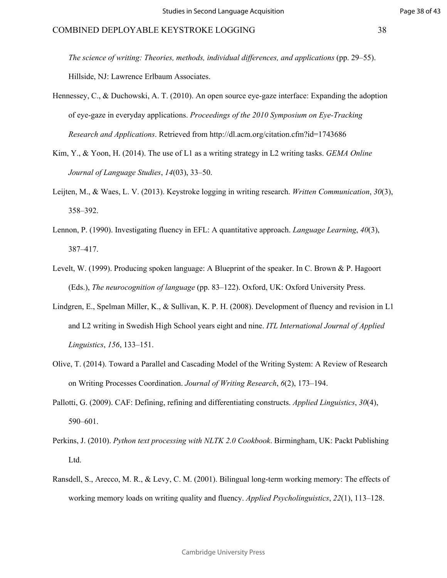*[The science of writing: Theories, methods, individual differences, and applications](http://paperpile.com/b/Tko6jV/dEDZr)* [\(pp. 29–55\).](http://paperpile.com/b/Tko6jV/dEDZr) [Hillside, NJ: Lawrence Erlbaum Associates.](http://paperpile.com/b/Tko6jV/dEDZr)

- [Hennessey, C., & Duchowski, A. T. \(2010\). An open source eye-gaze interface: Expanding the adoption](http://paperpile.com/b/Tko6jV/ovM94) [of eye-gaze in everyday applications.](http://paperpile.com/b/Tko6jV/ovM94) *[Proceedings of the 2010 Symposium on Eye-Tracking](http://paperpile.com/b/Tko6jV/ovM94) [Research and Applications](http://paperpile.com/b/Tko6jV/ovM94)*[. Retrieved from](http://paperpile.com/b/Tko6jV/ovM94) <http://dl.acm.org/citation.cfm?id=1743686>
- [Kim, Y., & Yoon, H. \(2014\). The use of L1 as a writing strategy in L2 writing tasks.](http://paperpile.com/b/Tko6jV/2UVzX) *[GEMA Online](http://paperpile.com/b/Tko6jV/2UVzX) [Journal of Language Studies](http://paperpile.com/b/Tko6jV/2UVzX)*[,](http://paperpile.com/b/Tko6jV/2UVzX) *[14](http://paperpile.com/b/Tko6jV/2UVzX)*[\(03\), 33–50.](http://paperpile.com/b/Tko6jV/2UVzX)
- [Leijten, M., & Waes, L. V. \(2013\). Keystroke logging in writing research.](http://paperpile.com/b/Tko6jV/J78FR) *[Written Communication](http://paperpile.com/b/Tko6jV/J78FR)*[,](http://paperpile.com/b/Tko6jV/J78FR) *[30](http://paperpile.com/b/Tko6jV/J78FR)*[\(3\),](http://paperpile.com/b/Tko6jV/J78FR) [358–392.](http://paperpile.com/b/Tko6jV/J78FR)
- [Lennon, P. \(1990\). Investigating fluency in EFL: A quantitative approach.](http://paperpile.com/b/Tko6jV/oG58r) *[Language Learning](http://paperpile.com/b/Tko6jV/oG58r)*[,](http://paperpile.com/b/Tko6jV/oG58r) *[40](http://paperpile.com/b/Tko6jV/oG58r)*[\(3\),](http://paperpile.com/b/Tko6jV/oG58r) [387–417.](http://paperpile.com/b/Tko6jV/oG58r)
- [Levelt, W. \(1999\). Producing spoken language: A Blueprint of the speaker. In C. Brown & P. Hagoort](http://paperpile.com/b/Tko6jV/gk5z5) [\(Eds.\),](http://paperpile.com/b/Tko6jV/gk5z5) *[The neurocognition of language](http://paperpile.com/b/Tko6jV/gk5z5)* [\(pp. 83–122\). Oxford, UK: Oxford University Press.](http://paperpile.com/b/Tko6jV/gk5z5)
- 2013). Keystroke logging in writing research. W.<br>
ting fluency in EFL: A quantitative approach. La<br>
g spoken language: A Blueprint of the speaker. In<br>
tion of language (pp. 83–122). Oxford, UK: Oxfore,<br>
r, K., & Sullivan, [Lindgren, E., Spelman Miller, K., & Sullivan, K. P. H. \(2008\). Development of fluency and revision in L1](http://paperpile.com/b/Tko6jV/xpBAV) [and L2 writing in Swedish High School years eight and nine.](http://paperpile.com/b/Tko6jV/xpBAV) *[ITL International Journal of Applied](http://paperpile.com/b/Tko6jV/xpBAV) [Linguistics](http://paperpile.com/b/Tko6jV/xpBAV)*[,](http://paperpile.com/b/Tko6jV/xpBAV) *[156](http://paperpile.com/b/Tko6jV/xpBAV)*[, 133–151.](http://paperpile.com/b/Tko6jV/xpBAV)
- [Olive, T. \(2014\). Toward a Parallel and Cascading Model of the Writing System: A Review of Research](http://paperpile.com/b/Tko6jV/3WVfj) [on Writing Processes Coordination.](http://paperpile.com/b/Tko6jV/3WVfj) *[Journal of Writing Research](http://paperpile.com/b/Tko6jV/3WVfj)*[,](http://paperpile.com/b/Tko6jV/3WVfj)  *[6](http://paperpile.com/b/Tko6jV/3WVfj)*[\(2\), 173–194.](http://paperpile.com/b/Tko6jV/3WVfj)
- [Pallotti, G. \(2009\). CAF: Defining, refining and differentiating constructs.](http://paperpile.com/b/Tko6jV/OYBOq) *[Applied Linguistics](http://paperpile.com/b/Tko6jV/OYBOq)*[,](http://paperpile.com/b/Tko6jV/OYBOq) *[30](http://paperpile.com/b/Tko6jV/OYBOq)*[\(4\),](http://paperpile.com/b/Tko6jV/OYBOq) [590–601.](http://paperpile.com/b/Tko6jV/OYBOq)
- [Perkins, J. \(2010\).](http://paperpile.com/b/Tko6jV/ZHMhM) *[Python text processing with NLTK 2.0 Cookbook](http://paperpile.com/b/Tko6jV/ZHMhM)*[. Birmingham, UK: Packt Publishing](http://paperpile.com/b/Tko6jV/ZHMhM) [Ltd.](http://paperpile.com/b/Tko6jV/ZHMhM)
- [Ransdell, S., Arecco, M. R., & Levy, C. M. \(2001\). Bilingual long-term working memory: The effects of](http://paperpile.com/b/Tko6jV/Bbare) [working memory loads on writing quality and fluency.](http://paperpile.com/b/Tko6jV/Bbare) *[Applied Psycholinguistics](http://paperpile.com/b/Tko6jV/Bbare)*[,](http://paperpile.com/b/Tko6jV/Bbare) *[22](http://paperpile.com/b/Tko6jV/Bbare)*[\(1\), 113–128.](http://paperpile.com/b/Tko6jV/Bbare)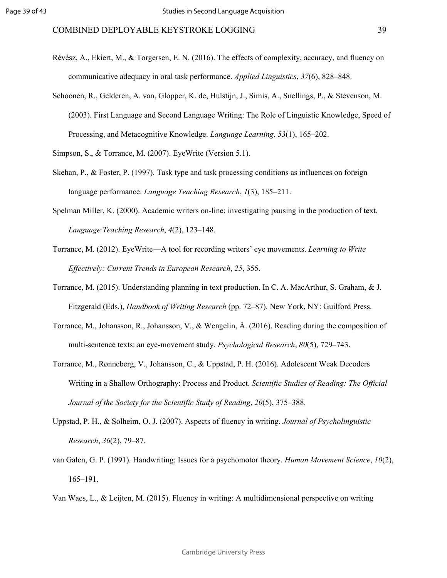- [Révész, A., Ekiert, M., & Torgersen, E. N. \(2016\). The effects of complexity, accuracy, and fluency on](http://paperpile.com/b/Tko6jV/4bcqi) [communicative adequacy in oral task performance.](http://paperpile.com/b/Tko6jV/4bcqi) *[Applied Linguistics](http://paperpile.com/b/Tko6jV/4bcqi)*[,](http://paperpile.com/b/Tko6jV/4bcqi) *[37](http://paperpile.com/b/Tko6jV/4bcqi)*[\(6\), 828–848.](http://paperpile.com/b/Tko6jV/4bcqi)
- [Schoonen, R., Gelderen, A. van, Glopper, K. de, Hulstijn, J., Simis, A., Snellings, P., & Stevenson, M.](http://paperpile.com/b/Tko6jV/u4yq8) [\(2003\). First Language and Second Language Writing: The Role of Linguistic Knowledge, Speed of](http://paperpile.com/b/Tko6jV/u4yq8) [Processing, and Metacognitive Knowledge.](http://paperpile.com/b/Tko6jV/u4yq8) *[Language Learning](http://paperpile.com/b/Tko6jV/u4yq8)*[,](http://paperpile.com/b/Tko6jV/u4yq8) *[53](http://paperpile.com/b/Tko6jV/u4yq8)*[\(1\), 165–202.](http://paperpile.com/b/Tko6jV/u4yq8)

[Simpson, S., & Torrance, M. \(2007\). EyeWrite \(Version 5.1\).](http://paperpile.com/b/Tko6jV/PZO0S)

- [Skehan, P., & Foster, P. \(1997\). Task type and task processing conditions as influences on foreign](http://paperpile.com/b/Tko6jV/YLUKe) [language performance.](http://paperpile.com/b/Tko6jV/YLUKe) *Language Teaching Research*, *1*(3), 185–211.
- [Spelman Miller, K. \(2000\). Academic writers on-line: investigating pausing in the production of text.](http://paperpile.com/b/Tko6jV/pF9ct) *[Language Teaching Research](http://paperpile.com/b/Tko6jV/pF9ct)*, *4*(2), 123–148.
- [Torrance, M. \(2012\). EyeWrite—A tool for recording writers' eye movements.](http://paperpile.com/b/Tko6jV/eui8o) *[Learning to Write](http://paperpile.com/b/Tko6jV/eui8o) [Effectively: Current Trends in European Research](http://paperpile.com/b/Tko6jV/eui8o)*, *25*, 355.
- [Torrance, M. \(2015\). Understanding planning in text production. In C. A. MacArthur, S. Graham, & J.](http://paperpile.com/b/Tko6jV/A7EfZ) [Fitzgerald \(Eds.\),](http://paperpile.com/b/Tko6jV/A7EfZ) *[Handbook of Writing Research](http://paperpile.com/b/Tko6jV/A7EfZ)* [\(pp. 72–87\). New York, NY: Guilford Press.](http://paperpile.com/b/Tko6jV/A7EfZ)
- Language Teaching Resea[r](http://paperpile.com/b/Tko6jV/pF9ct)ch, 1(3), 185–211.<br>Academic writers on-line: investigating pausing i<br>search, 4(2), 123–148.<br>rite—A tool for recording writers' eye movemen<br>ends in European Research, 25, 355.<br>standing planning in te [Torrance, M., Johansson, R., Johansson, V., & Wengelin, Å. \(2016\). Reading during the composition of](http://paperpile.com/b/Tko6jV/E2Zvk) [multi-sentence texts: an eye-movement study.](http://paperpile.com/b/Tko6jV/E2Zvk) *Psychological Research*, *[80](http://paperpile.com/b/Tko6jV/E2Zvk)*[\(5\), 729–743.](http://paperpile.com/b/Tko6jV/E2Zvk)
- [Torrance, M., Rønneberg, V., Johansson, C., & Uppstad, P. H. \(2016\). Adolescent Weak Decoders](http://paperpile.com/b/Tko6jV/Z2IwW) [Writing in a Shallow Orthography: Process and Product.](http://paperpile.com/b/Tko6jV/Z2IwW) *[Scientific Studies of Reading: The Official](http://paperpile.com/b/Tko6jV/Z2IwW) [Journal of the Society for the Scientific Study of Reading](http://paperpile.com/b/Tko6jV/Z2IwW)*[,](http://paperpile.com/b/Tko6jV/Z2IwW) *[20](http://paperpile.com/b/Tko6jV/Z2IwW)*[\(5\), 375–388.](http://paperpile.com/b/Tko6jV/Z2IwW)
- [Uppstad, P. H., & Solheim, O. J. \(2007\). Aspects of fluency in writing.](http://paperpile.com/b/Tko6jV/5NWVH) *[Journal of Psycholinguistic](http://paperpile.com/b/Tko6jV/5NWVH) [Research](http://paperpile.com/b/Tko6jV/5NWVH)*[,](http://paperpile.com/b/Tko6jV/5NWVH) *[36](http://paperpile.com/b/Tko6jV/5NWVH)*[\(2\), 79–87.](http://paperpile.com/b/Tko6jV/5NWVH)
- [van Galen, G. P. \(1991\). Handwriting: Issues for a psychomotor theory.](http://paperpile.com/b/Tko6jV/JnUOx) *[Human Movement Science](http://paperpile.com/b/Tko6jV/JnUOx)*[,](http://paperpile.com/b/Tko6jV/JnUOx) *[10](http://paperpile.com/b/Tko6jV/JnUOx)*[\(2\),](http://paperpile.com/b/Tko6jV/JnUOx) [165–191.](http://paperpile.com/b/Tko6jV/JnUOx)

[Van Waes, L., & Leijten, M. \(2015\). Fluency in writing: A multidimensional perspective on writing](http://paperpile.com/b/Tko6jV/zxc4I)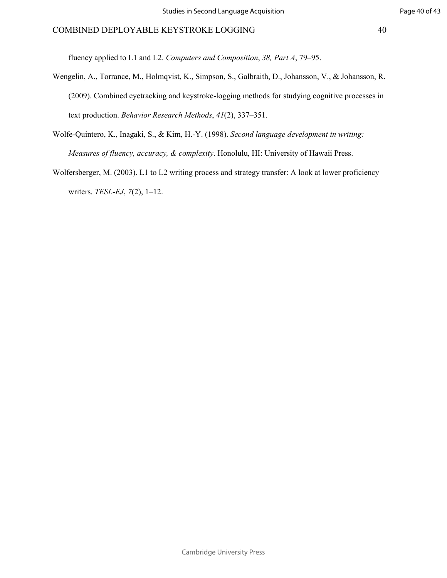Page 40 of 43

[fluency applied to L1 and L2.](http://paperpile.com/b/Tko6jV/zxc4I) *[Computers and Composition](http://paperpile.com/b/Tko6jV/zxc4I)*[,](http://paperpile.com/b/Tko6jV/zxc4I) *[38, Part A](http://paperpile.com/b/Tko6jV/zxc4I)*[, 79–95.](http://paperpile.com/b/Tko6jV/zxc4I)

- [Wengelin, A., Torrance, M., Holmqvist, K., Simpson, S., Galbraith, D., Johansson, V., & Johansson, R.](http://paperpile.com/b/Tko6jV/gBS0b) [\(2009\). Combined eyetracking and keystroke-logging methods for studying cognitive processes in](http://paperpile.com/b/Tko6jV/gBS0b) [text production.](http://paperpile.com/b/Tko6jV/gBS0b) *[Behavior Research Methods](http://paperpile.com/b/Tko6jV/gBS0b)*[,](http://paperpile.com/b/Tko6jV/gBS0b) *[41](http://paperpile.com/b/Tko6jV/gBS0b)*[\(2\), 337–351.](http://paperpile.com/b/Tko6jV/gBS0b)
- [Wolfe-Quintero, K., Inagaki, S., & Kim, H.-Y. \(1998\).](http://paperpile.com/b/Tko6jV/qNTp5) *[Second language development in writing:](http://paperpile.com/b/Tko6jV/qNTp5) [Measures of fluency, accuracy, & complexity](http://paperpile.com/b/Tko6jV/qNTp5)*[. Honolulu, HI: University of Hawaii Press.](http://paperpile.com/b/Tko6jV/qNTp5)
- $F = \frac{1}{2}$ [Wolfersberger, M. \(2003\). L1 to L2 writing process and strategy transfer: A look at lower proficiency](http://paperpile.com/b/Tko6jV/C4wr1) [writers.](http://paperpile.com/b/Tko6jV/C4wr1) *[TESL-EJ](http://paperpile.com/b/Tko6jV/C4wr1)*[,](http://paperpile.com/b/Tko6jV/C4wr1)  *[7](http://paperpile.com/b/Tko6jV/C4wr1)*[\(2\), 1–12.](http://paperpile.com/b/Tko6jV/C4wr1)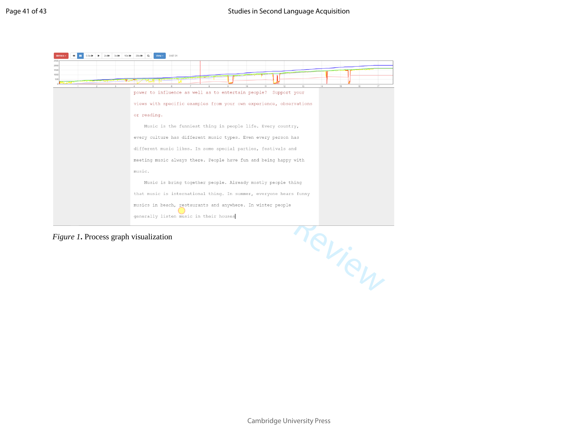

*Figure 1***.** Process graph visualization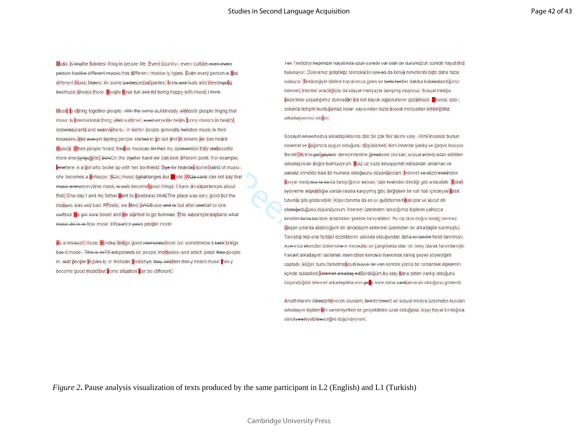Music is impthe funniest thing in people life. Every country-, every culture-even-every person haslike different mucsic has differen t musics ty types. Even every person is has different music likjees. In some partiespecial parties, tests and ivals and meetingshq becmusic always there. People have fun and nd being happy with music.<sup>1-think-</sup>

Music-s ebring together people. +NIn the some aLAIdready allmostly people thigng that music is international thing. HNn summer, eveevery one hears junny musics in beach restoraaurants and soanywhere. In winter people generally helisten music in their music do to te-how music influcence-pees people mode.

become good mode but some situation can be different.

Tek Teknoloji hepimizin hayatında uzun süredir var olan bir durumuzun süredir hayatımız bulunuyor. Dünyamız geliştikçe teknoloji iyi eye aa da kötüğ nimetlerini bize daha fazla sunuyor. Teknolojiyle birlikte hayatımıza giren ve belki herher dakika kulolanlandığımız internet, internet aracılığıyla da sosyal medyayla tanışmış oluyoruz. Sosyal medya üezerinde yaşadığımız dünyadan kat kat büyük öggörünüyor gözümüze. Ckulda, iştei-, sokakta iletişim kurduğumuz insan sayısından fazla sosyal medyadan edindiğimiz arkadaslarımız oluvor.

Sosayal ameemedya arkadaslıklarına dair bir çok fikir akımı vare-, Kimi insanlar bunun For Pearlinear Command Ve Cagimiza uygun olduğunu düşünürken<br>
For Pearlinear Command Ve Cagimiza uygun olduğunu düşünürken<br>
For Pearlinear Command Ve Cagimiza uygun olduğunu düşünürken<br>
For Pearlinear Command Command Comma

> Anlattıklarımı ölzeezetleyecek olursam, ibanternmeet ve sosyal medya üzerinden kurulan arkadaslık iliskilerinin samimiyetten ve gerçeklikten uzak olduğunu, kisiyi hayal kırıklığına sürükveleleyebileecceğini düşünüyorum.

*Figure 2***.** Pause analysis visualization of texts produced by the same participant in L2 (English) and L1 (Turkish)